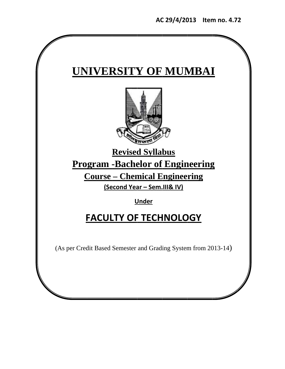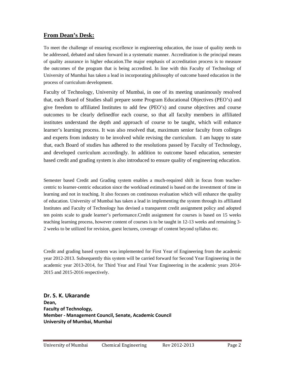# **From Dean's Desk:**

To meet the challenge of ensuring excellence in engineering education, the issue of quality needs to be addressed, debated and taken forward in a systematic manner. Accreditation is the principal means of quality assurance in higher education.The major emphasis of accreditation process is to measure the outcomes of the program that is being accredited. In line with this Faculty of Technology of University of Mumbai has taken a lead in incorporating philosophy of outcome based education in the process of curriculum development.

Faculty of Technology, University of Mumbai, in one of its meeting unanimously resolved that, each Board of Studies shall prepare some Program Educational Objectives (PEO's) and give freedom to affiliated Institutes to add few (PEO's) and course objectives and course outcomes to be clearly definedfor each course, so that all faculty members in affiliated institutes understand the depth and approach of course to be taught, which will enhance learner's learning process. It was also resolved that, maximum senior faculty from colleges and experts from industry to be involved while revising the curriculum. I am happy to state that, each Board of studies has adhered to the resolutions passed by Faculty of Technology, and developed curriculum accordingly. In addition to outcome based education, semester based credit and grading system is also introduced to ensure quality of engineering education.

Semester based Credit and Grading system enables a much-required shift in focus from teachercentric to learner-centric education since the workload estimated is based on the investment of time in learning and not in teaching. It also focuses on continuous evaluation which will enhance the quality of education. University of Mumbai has taken a lead in implementing the system through its affiliated Institutes and Faculty of Technology has devised a transparent credit assignment policy and adopted ten points scale to grade learner's performance.Credit assignment for courses is based on 15 weeks teaching learning process, however content of courses is to be taught in 12-13 weeks and remaining 3- 2 weeks to be utilized for revision, guest lectures, coverage of content beyond syllabus etc.

Credit and grading based system was implemented for First Year of Engineering from the academic year 2012-2013. Subsequently this system will be carried forward for Second Year Engineering in the academic year 2013-2014, for Third Year and Final Year Engineering in the academic years 2014- 2015 and 2015-2016 respectively.

**Dr. S. K. Ukarande** Dean, **Faculty of Technology, Member ‐ Management Council, Senate, Academic Council University of Mumbai, Mumbai**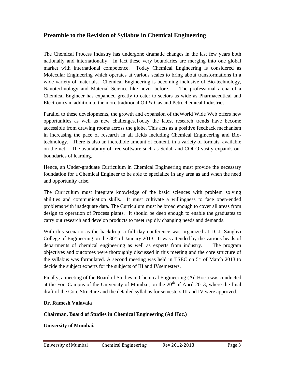# **Preamble to the Revision of Syllabus in Chemical Engineering**

The Chemical Process Industry has undergone dramatic changes in the last few years both nationally and internationally. In fact these very boundaries are merging into one global market with international competence. Today Chemical Engineering is considered as Molecular Engineering which operates at various scales to bring about transformations in a wide variety of materials. Chemical Engineering is becoming inclusive of Bio-technology, Nanotechnology and Material Science like never before. The professional arena of a Chemical Engineer has expanded greatly to cater to sectors as wide as Pharmaceutical and Electronics in addition to the more traditional Oil & Gas and Petrochemical Industries.

Parallel to these developments, the growth and expansion of theWorld Wide Web offers new opportunities as well as new challenges.Today the latest research trends have become accessible from drawing rooms across the globe. This acts as a positive feedback mechanism in increasing the pace of research in all fields including Chemical Engineering and Biotechnology. There is also an incredible amount of content, in a variety of formats, available on the net. The availability of free software such as Scilab and COCO vastly expands our boundaries of learning.

Hence, an Under-graduate Curriculum in Chemical Engineering must provide the necessary foundation for a Chemical Engineer to be able to specialize in any area as and when the need and opportunity arise.

The Curriculum must integrate knowledge of the basic sciences with problem solving abilities and communication skills. It must cultivate a willingness to face open-ended problems with inadequate data. The Curriculum must be broad enough to cover all areas from design to operation of Process plants. It should be deep enough to enable the graduates to carry out research and develop products to meet rapidly changing needs and demands.

With this scenario as the backdrop, a full day conference was organized at D. J. Sanghvi College of Engineering on the  $30<sup>th</sup>$  of January 2013. It was attended by the various heads of departments of chemical engineering as well as experts from industry. The program objectives and outcomes were thoroughly discussed in this meeting and the core structure of the syllabus was formulated. A second meeting was held in TSEC on  $5<sup>th</sup>$  of March 2013 to decide the subject experts for the subjects of III and IVsemesters.

Finally, a meeting of the Board of Studies in Chemical Engineering (Ad Hoc.) was conducted at the Fort Campus of the University of Mumbai, on the  $20<sup>th</sup>$  of April 2013, where the final draft of the Core Structure and the detailed syllabus for semesters III and IV were approved.

## **Dr. Ramesh Vulavala**

## **Chairman, Board of Studies in Chemical Engineering (Ad Hoc.)**

**University of Mumbai.**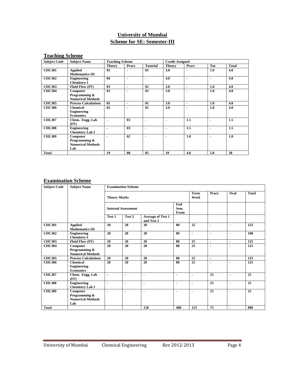# **University of Mumbai Scheme for SE: Semester-III**

# **Teaching Scheme**

| <b>Subject Code</b> | <b>Subject Name</b>                                          | <b>Teaching Scheme</b> |                |                 | <b>Credit Assigned</b> |       |     |              |
|---------------------|--------------------------------------------------------------|------------------------|----------------|-----------------|------------------------|-------|-----|--------------|
|                     |                                                              | <b>Theory</b>          | Pract.         | <b>Tutorial</b> | <b>Theory</b>          | Pract | Tut | <b>Total</b> |
| <b>CHC301</b>       | <b>Applied</b><br>Mathematics-III                            | 0 <sub>3</sub>         |                | 01              | 3.0                    | ۰     | 1.0 | 4.0          |
| <b>CHC302</b>       | Engineering<br><b>Chemistry-I</b>                            | 04                     |                | $\blacksquare$  | 4.0                    | ٠     | ۰   | 4.0          |
| <b>CHC303</b>       | <b>Fluid Flow (FF)</b>                                       | 0 <sub>3</sub>         | ۰              | 01              | 3.0                    | ٠     | 1.0 | 4.0          |
| <b>CHC304</b>       | Computer<br>Programming &<br><b>Numerical Methods</b>        | 03                     |                | 01              | 3.0                    | ٠     | 1.0 | 4.0          |
| <b>CHC305</b>       | <b>Process Calculations</b>                                  | 0 <sub>3</sub>         | ۰              | 01              | 3.0                    | ۰     | 1.0 | 4.0          |
| <b>CHC306</b>       | <b>Chemical</b><br><b>Engineering</b><br><b>Economics</b>    | 0 <sub>3</sub>         |                | 01              | 3.0                    | ٠     | 1.0 | 4.0          |
| <b>CHL307</b>       | Chem. Engg. Lab<br>(FF)                                      | $\blacksquare$         | 0 <sub>3</sub> | -               | ٠                      | 1.5   | ٠   | 1.5          |
| <b>CHL308</b>       | <b>Engineering</b><br><b>Chemistry Lab I</b>                 | $\blacksquare$         | 0 <sub>3</sub> | $\blacksquare$  | ٠                      | 1.5   | ۰   | 1.5          |
| <b>CHL309</b>       | Computer<br>Programming &<br><b>Numerical Methods</b><br>Lab | ۰                      | 02             | $\blacksquare$  | ٠                      | 1.0   |     | 1.0          |
| <b>Total</b>        |                                                              | 19                     | 08             | 05              | 19                     | 4.0   | 5.0 | 28           |

## **Examination Scheme**

| <b>Subject Code</b> | <b>Subject Name</b>                                          |                     | <b>Examination Scheme</b>  |                                        |                     |                          |                          |                          |              |
|---------------------|--------------------------------------------------------------|---------------------|----------------------------|----------------------------------------|---------------------|--------------------------|--------------------------|--------------------------|--------------|
|                     |                                                              | <b>Theory Marks</b> |                            |                                        |                     | <b>Term</b><br>Work      | Pract.                   | Oral                     | <b>Total</b> |
|                     |                                                              |                     | <b>Internal Assessment</b> |                                        | End<br>Sem.<br>Exam |                          |                          |                          |              |
|                     |                                                              | Test 1              | Test 2                     | <b>Average of Test 1</b><br>and Test 2 |                     |                          |                          |                          |              |
| <b>CHC301</b>       | <b>Applied</b><br>Mathematics-III                            | 20                  | 20                         | 20                                     | 80                  | 25                       | $\overline{\phantom{a}}$ | $\overline{\phantom{a}}$ | 125          |
| <b>CHC302</b>       | <b>Engineering</b><br><b>Chemistry-I</b>                     | 20                  | 20                         | 20                                     | 80                  | ä,                       | $\blacksquare$           | $\blacksquare$           | 100          |
| <b>CHC303</b>       | Fluid Flow (FF)                                              | 20                  | 20                         | 20                                     | 80                  | 25                       | ä,                       | $\blacksquare$           | 125          |
| <b>CHC304</b>       | Computer<br>Programming &<br><b>Numerical Methods</b>        | 20                  | 20                         | 20                                     | 80                  | $\overline{25}$          | ÷                        | $\blacksquare$           | 125          |
| <b>CHC305</b>       | <b>Process Calculations</b>                                  | 20                  | 20                         | 20                                     | 80                  | 25                       | $\blacksquare$           |                          | 125          |
| <b>CHC306</b>       | <b>Chemical</b><br><b>Engineering</b><br><b>Economics</b>    | 20                  | 20                         | 20                                     | 80                  | 25                       | ÷                        | $\overline{\phantom{a}}$ | 125          |
| <b>CHL307</b>       | Chem. Engg. Lab<br>(FF)                                      | $\blacksquare$      | $\blacksquare$             | $\blacksquare$                         | $\blacksquare$      | $\blacksquare$           | 25                       | $\blacksquare$           | 25           |
| <b>CHL308</b>       | <b>Engineering</b><br><b>Chemistry Lab I</b>                 | ä,                  | ٠                          | ٠                                      | ٠                   | ٠                        | 25                       | $\blacksquare$           | 25           |
| <b>CHL309</b>       | Computer<br>Programming &<br><b>Numerical Methods</b><br>Lab | ÷                   |                            | $\blacksquare$                         |                     | $\overline{\phantom{a}}$ | 25                       | $\overline{\phantom{a}}$ | 25           |
| <b>Total</b>        |                                                              |                     |                            | 120                                    | 480                 | 125                      | 75                       | $\blacksquare$           | 800          |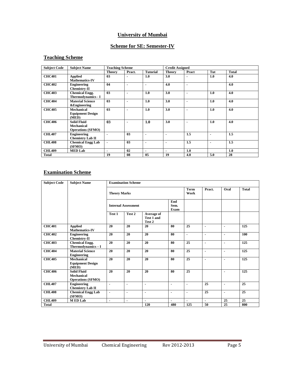## **University of Mumbai**

# **Scheme for SE: Semester-IV**

# **Teaching Scheme**

| <b>Subject Code</b> | <b>Subject Name</b>       | <b>Teaching Scheme</b> |                |                 | <b>Credit Assigned</b> |                |                |              |
|---------------------|---------------------------|------------------------|----------------|-----------------|------------------------|----------------|----------------|--------------|
|                     |                           | <b>Theory</b>          | Pract.         | <b>Tutorial</b> | <b>Theory</b>          | Pract          | Tut            | <b>Total</b> |
| <b>CHC401</b>       | <b>Applied</b>            | 03                     |                | 1.0             | 3.0                    | ۰              | 1.0            | 4.0          |
|                     | <b>Mathematics-IV</b>     |                        |                |                 |                        |                |                |              |
| <b>CHC402</b>       | Engineering               | 04                     | ٠              | ۰               | 4.0                    | ۰              |                | 4.0          |
|                     | <b>Chemistry-II</b>       |                        |                |                 |                        |                |                |              |
| <b>CHC403</b>       | <b>Chemical Engg.</b>     | 0 <sub>3</sub>         | ٠              | 1.0             | 3.0                    | $\blacksquare$ | 1.0            | 4.0          |
|                     | <b>Thermodynamics - I</b> |                        |                |                 |                        |                |                |              |
| <b>CHC404</b>       | <b>Material Science</b>   | 0 <sub>3</sub>         | -              | 1.0             | 3.0                    | ۰              | 1.0            | 4.0          |
|                     | <b>&amp;Engineering</b>   |                        |                |                 |                        |                |                |              |
| <b>CHC405</b>       | <b>Mechanical</b>         | 0 <sub>3</sub>         | ٠              | 1.0             | 3.0                    | ٠              | 1.0            | 4.0          |
|                     | <b>Equipment Design</b>   |                        |                |                 |                        |                |                |              |
|                     | (MED)                     |                        |                |                 |                        |                |                |              |
| <b>CHC406</b>       | <b>Solid Fluid</b>        | 0 <sub>3</sub>         |                | 1.0             | 3.0                    | ٠              | 1.0            | 4.0          |
|                     | <b>Mechanical</b>         |                        |                |                 |                        |                |                |              |
|                     | <b>Operations (SFMO)</b>  |                        |                |                 |                        |                |                |              |
| <b>CHL407</b>       | <b>Engineering</b>        | $\blacksquare$         | 03             | $\blacksquare$  | $\blacksquare$         | 1.5            | ٠              | 1.5          |
|                     | <b>Chemistry Lab II</b>   |                        |                |                 |                        |                |                |              |
| <b>CHL408</b>       | <b>Chemical Engg Lab</b>  | $\blacksquare$         | 0 <sub>3</sub> | $\blacksquare$  | ۰                      | 1.5            | $\blacksquare$ | $1.5\,$      |
|                     | (SFMO)                    |                        |                |                 |                        |                |                |              |
| <b>CHL409</b>       | <b>MED Lab</b>            | ۰                      | 02             | ۰               | ۰                      | 1.0            |                | 1.0          |
| <b>Total</b>        |                           | 19                     | 08             | 05              | 19                     | 4.0            | 5.0            | 28           |

## **Examination Scheme**

| <b>Subject Code</b> | <b>Subject Name</b>                                          |                     | <b>Examination Scheme</b>  |                                    |                     |                |                       |                |              |
|---------------------|--------------------------------------------------------------|---------------------|----------------------------|------------------------------------|---------------------|----------------|-----------------------|----------------|--------------|
|                     |                                                              | <b>Theory Marks</b> |                            |                                    |                     | Term<br>Work   | Pract.                | Oral           | <b>Total</b> |
|                     |                                                              |                     | <b>Internal Assessment</b> |                                    | End<br>Sem.<br>Exam |                |                       |                |              |
|                     |                                                              | Test 1              | Test 2                     | Average of<br>Test 1 and<br>Test 2 |                     |                |                       |                |              |
| <b>CHC401</b>       | <b>Applied</b><br><b>Mathematics-IV</b>                      | 20                  | 20                         | 20                                 | 80                  | 25             | $\blacksquare$        | ٠              | 125          |
| <b>CHC402</b>       | <b>Engineering</b><br><b>Chemistry-II</b>                    | 20                  | 20                         | 20                                 | 80                  | $\blacksquare$ | ä,                    | $\blacksquare$ | 100          |
| <b>CHC403</b>       | <b>Chemical Engg.</b><br>Thermodynamics - I                  | 20                  | 20                         | 20                                 | 80                  | 25             | $\tilde{\phantom{a}}$ | $\blacksquare$ | 125          |
| <b>CHC404</b>       | <b>Material Science</b><br><b>Engineering</b>                | 20                  | 20                         | 20                                 | 80                  | 25             | ×,                    | ٠              | 125          |
| <b>CHC405</b>       | Mechanical<br><b>Equipment Design</b><br>(MED)               | 20                  | 20                         | 20                                 | 80                  | 25             | ä,                    | ٠              | 125          |
| <b>CHC406</b>       | <b>Solid Fluid</b><br>Mechanical<br><b>Operations (SFMO)</b> | 20                  | 20                         | 20                                 | 80                  | 25             |                       | $\blacksquare$ | 125          |
| <b>CHL407</b>       | <b>Engineering</b><br><b>Chemistry Lab II</b>                | $\blacksquare$      | ä,                         | $\overline{\phantom{a}}$           | ٠                   | $\blacksquare$ | 25                    | ٠              | 25           |
| <b>CHL408</b>       | <b>Chemical Engg Lab</b><br>(SFMO)                           | $\blacksquare$      | ×,                         | $\overline{\phantom{a}}$           | ٠                   | $\blacksquare$ | 25                    | $\blacksquare$ | 25           |
| <b>CHL409</b>       | <b>MED Lab</b>                                               | $\blacksquare$      | $\blacksquare$             | $\blacksquare$                     | ٠                   | $\blacksquare$ | $\blacksquare$        | 25             | 25           |
| <b>Total</b>        |                                                              |                     |                            | 120                                | 480                 | 125            | 50                    | 25             | 800          |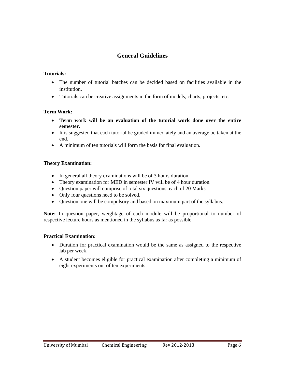# **General Guidelines**

## **Tutorials:**

- The number of tutorial batches can be decided based on facilities available in the institution.
- Tutorials can be creative assignments in the form of models, charts, projects, etc.

## **Term Work:**

- **Term work will be an evaluation of the tutorial work done over the entire semester.**
- It is suggested that each tutorial be graded immediately and an average be taken at the end.
- A minimum of ten tutorials will form the basis for final evaluation.

## **Theory Examination:**

- In general all theory examinations will be of 3 hours duration.
- Theory examination for MED in semester IV will be of 4 hour duration.
- Question paper will comprise of total six questions, each of 20 Marks.
- Only four questions need to be solved.
- Question one will be compulsory and based on maximum part of the syllabus.

**Note:** In question paper, weightage of each module will be proportional to number of respective lecture hours as mentioned in the syllabus as far as possible.

## **Practical Examination:**

- Duration for practical examination would be the same as assigned to the respective lab per week.
- A student becomes eligible for practical examination after completing a minimum of eight experiments out of ten experiments.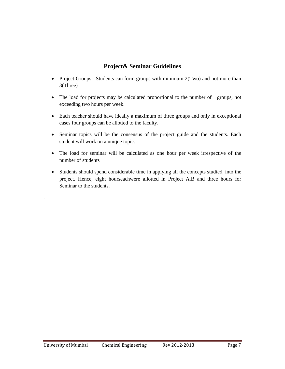# **Project& Seminar Guidelines**

- Project Groups: Students can form groups with minimum 2(Two) and not more than 3(Three)
- The load for projects may be calculated proportional to the number of groups, not exceeding two hours per week.
- Each teacher should have ideally a maximum of three groups and only in exceptional cases four groups can be allotted to the faculty.
- Seminar topics will be the consensus of the project guide and the students. Each student will work on a unique topic.
- The load for seminar will be calculated as one hour per week irrespective of the number of students
- Students should spend considerable time in applying all the concepts studied, into the project. Hence, eight hourseachwere allotted in Project A,B and three hours for Seminar to the students.

.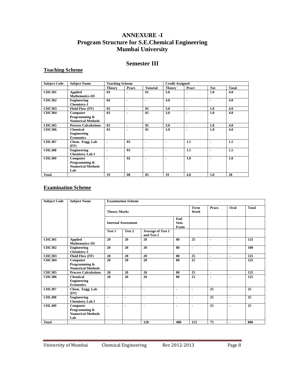# **ANNEXURE -I Program Structure for S.E.Chemical Engineering Mumbai University**

## **Semester III**

## **Teaching Scheme**

| <b>Subject Code</b> | <b>Subject Name</b>                                          | <b>Teaching Scheme</b> |                |                 | <b>Credit Assigned</b> |                |                |              |
|---------------------|--------------------------------------------------------------|------------------------|----------------|-----------------|------------------------|----------------|----------------|--------------|
|                     |                                                              | <b>Theory</b>          | Pract.         | <b>Tutorial</b> | <b>Theory</b>          | Pract          | Tut            | <b>Total</b> |
| <b>CHC301</b>       | Applied<br>Mathematics-III                                   | 0 <sub>3</sub>         | ۰              | 01              | 3.0                    | ٠              | 1.0            | 4.0          |
| <b>CHC302</b>       | Engineering<br><b>Chemistry-I</b>                            | 04                     | $\blacksquare$ | ٠               | 4.0                    | $\blacksquare$ | ۰.             | 4.0          |
| <b>CHC303</b>       | <b>Fluid Flow (FF)</b>                                       | 0 <sub>3</sub>         | ٠              | 01              | 3.0                    | ۰              | 1.0            | 4.0          |
| <b>CHC304</b>       | Computer<br>Programming &<br><b>Numerical Methods</b>        | 03                     | ۰              | 01              | 3.0                    | ٠              | 1.0            | 4.0          |
| <b>CHC305</b>       | <b>Process Calculations</b>                                  | 0 <sub>3</sub>         | ٠              | 01              | 3.0                    | ٠              | 1.0            | 4.0          |
| <b>CHC306</b>       | <b>Chemical</b><br><b>Engineering</b><br><b>Economics</b>    | 0 <sub>3</sub>         | ۰              | 01              | 3.0                    | ۰              | 1.0            | 4.0          |
| <b>CHL307</b>       | Chem. Engg. Lab<br>(FF)                                      | ٠                      | 0 <sub>3</sub> | ٠               | -                      | 1.5            | ۰              | 1.5          |
| <b>CHL308</b>       | <b>Engineering</b><br><b>Chemistry Lab I</b>                 | $\blacksquare$         | 0 <sub>3</sub> | ٠               | $\blacksquare$         | 1.5            | $\blacksquare$ | 1.5          |
| <b>CHL309</b>       | Computer<br>Programming &<br><b>Numerical Methods</b><br>Lab |                        | 02             | ٠               | $\blacksquare$         | 1.0            |                | 1.0          |
| <b>Total</b>        |                                                              | 19                     | 08             | 05              | 19                     | 4.0            | 5.0            | 28           |

## **Examination Scheme**

| <b>Subject Code</b> | <b>Subject Name</b>                                          |                     | <b>Examination Scheme</b>  |                                        |                          |                     |                 |                |                 |
|---------------------|--------------------------------------------------------------|---------------------|----------------------------|----------------------------------------|--------------------------|---------------------|-----------------|----------------|-----------------|
|                     |                                                              | <b>Theory Marks</b> |                            |                                        |                          | <b>Term</b><br>Work | Pract.          | Oral           | <b>Total</b>    |
|                     |                                                              |                     | <b>Internal Assessment</b> |                                        | End<br>Sem.<br>Exam      |                     |                 |                |                 |
|                     |                                                              | Test 1              | Test 2                     | <b>Average of Test 1</b><br>and Test 2 |                          |                     |                 |                |                 |
| <b>CHC301</b>       | <b>Applied</b><br>Mathematics-III                            | 20                  | 20                         | 20                                     | 80                       | 25                  | ٠               | $\blacksquare$ | 125             |
| <b>CHC302</b>       | <b>Engineering</b><br><b>Chemistry-I</b>                     | 20                  | 20                         | 20                                     | 80                       | ä,                  | ٠               | $\blacksquare$ | 100             |
| <b>CHC303</b>       | Fluid Flow (FF)                                              | 20                  | 20                         | 20                                     | 80                       | 25                  | $\blacksquare$  | $\blacksquare$ | 125             |
| <b>CHC304</b>       | Computer<br>Programming &<br><b>Numerical Methods</b>        | $\overline{20}$     | 20                         | 20                                     | 80                       | $\overline{25}$     | $\blacksquare$  | $\blacksquare$ | 125             |
| <b>CHC305</b>       | <b>Process Calculations</b>                                  | 20                  | 20                         | 20                                     | 80                       | 25                  | $\blacksquare$  |                | 125             |
| <b>CHC306</b>       | <b>Chemical</b><br><b>Engineering</b><br><b>Economics</b>    | 20                  | 20                         | 20                                     | 80                       | 25                  | ä,              |                | 125             |
| <b>CHL307</b>       | Chem. Engg. Lab<br>(FF)                                      | $\blacksquare$      | $\overline{\phantom{a}}$   | $\blacksquare$                         | $\overline{\phantom{a}}$ | ä,                  | 25              | $\blacksquare$ | 25              |
| <b>CHL308</b>       | <b>Engineering</b><br><b>Chemistry Lab I</b>                 | ٠                   | $\blacksquare$             | $\blacksquare$                         | $\blacksquare$           | $\blacksquare$      | $\overline{25}$ | $\blacksquare$ | $\overline{25}$ |
| <b>CHL309</b>       | Computer<br>Programming &<br><b>Numerical Methods</b><br>Lab | ÷                   | ٠                          | $\blacksquare$                         | $\blacksquare$           | ä,                  | 25              | $\blacksquare$ | 25              |
| <b>Total</b>        |                                                              |                     |                            | 120                                    | 480                      | 125                 | 75              | $\blacksquare$ | 800             |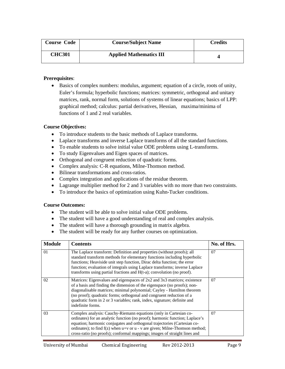| <b>Course Code</b> | <b>Course/Subject Name</b>     | Credits |
|--------------------|--------------------------------|---------|
| <b>CHC301</b>      | <b>Applied Mathematics III</b> |         |

• Basics of complex numbers: modulus, argument; equation of a circle, roots of unity, Euler's formula; hyperbolic functions; matrices: symmetric, orthogonal and unitary matrices, rank, normal form, solutions of systems of linear equations; basics of LPP: graphical method; calculus: partial derivatives, Hessian, maxima/minima of functions of 1 and 2 real variables.

### **Course Objectives:**

- To introduce students to the basic methods of Laplace transforms.
- Laplace transforms and inverse Laplace transforms of all the standard functions.
- To enable students to solve initial value ODE problems using L-transforms.
- To study Eigenvalues and Eigen spaces of matrices.
- Orthogonal and congruent reduction of quadratic forms.
- Complex analysis: C-R equations, Milne-Thomson method.
- Bilinear transformations and cross-ratios.
- Complex integration and applications of the residue theorem.
- Lagrange multiplier method for 2 and 3 variables with no more than two constraints.
- To introduce the basics of optimization using Kuhn-Tucker conditions.

- The student will be able to solve initial value ODE problems.
- The student will have a good understanding of real and complex analysis.
- The student will have a thorough grounding in matrix algebra.
- The student will be ready for any further courses on optimization.

| <b>Module</b> | <b>Contents</b>                                                                                                                                                                                                                                                                                                                                                                                         | No. of Hrs. |
|---------------|---------------------------------------------------------------------------------------------------------------------------------------------------------------------------------------------------------------------------------------------------------------------------------------------------------------------------------------------------------------------------------------------------------|-------------|
| 01            | The Laplace transform: Definition and properties (without proofs); all<br>standard transform methods for elementary functions including hyperbolic<br>functions; Heaviside unit step function, Dirac delta function; the error<br>function; evaluation of integrals using Laplace transforms; inverse Laplace<br>transforms using partial fractions and $H(t-a)$ ; convolution (no proof).              | 07          |
| 02            | Matrices: Eigenvalues and eigenspaces of 2x2 and 3x3 matrices; existence<br>of a basis and finding the dimension of the eigenspace (no proofs); non-<br>diagonalisable matrices; minimal polynomial; Cayley - Hamilton theorem<br>(no proof); quadratic forms; orthogonal and congruent reduction of a<br>quadratic form in 2 or 3 variables; rank, index, signature; definite and<br>indefinite forms. | 07          |
| 03            | Complex analysis: Cauchy-Riemann equations (only in Cartesian co-<br>ordinates) for an analytic function (no proof); harmonic function; Laplace's<br>equation; harmonic conjugates and orthogonal trajectories (Cartesian co-<br>ordinates); to find $f(z)$ when $u+v$ or $u - v$ are given; Milne-Thomson method;<br>cross-ratio (no proofs); conformal mappings; images of straight lines and         | 07          |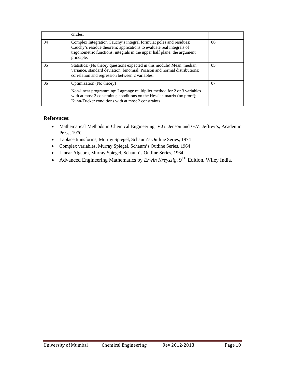|     | circles.                                                                                                                                                                                                                              |     |
|-----|---------------------------------------------------------------------------------------------------------------------------------------------------------------------------------------------------------------------------------------|-----|
| 04  | Complex Integration Cauchy's integral formula; poles and residues;<br>Cauchy's residue theorem; applications to evaluate real integrals of<br>trigonometric functions; integrals in the upper half plane; the argument<br>principle.  | 06  |
| 0.5 | Statistics: (No theory questions expected in this module) Mean, median,<br>variance, standard deviation; binomial, Poisson and normal distributions;<br>correlation and regression between 2 variables.                               | 0.5 |
| 06  | Optimization (No theory)<br>Non-linear programming: Lagrange multiplier method for 2 or 3 variables<br>with at most 2 constraints; conditions on the Hessian matrix (no proof);<br>Kuhn-Tucker conditions with at most 2 constraints. | 07  |

- Mathematical Methods in Chemical Engineering, V.G. Jenson and G.V. Jeffrey's, Academic Press, 1970.
- Laplace transforms, Murray Spiegel, Schaum's Outline Series, 1974
- Complex variables, Murray Spiegel, Schaum's Outline Series, 1964
- Linear Algebra, Murray Spiegel, Schaum's Outline Series, 1964
- Advanced Engineering Mathematics by *Erwin Kreyszig*, 9TH Edition, Wiley India.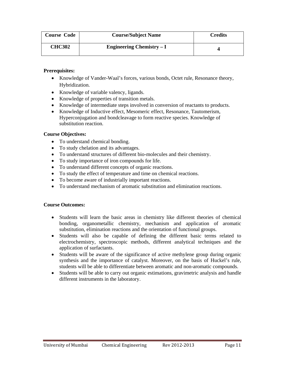| <b>Course Code</b> | <b>Course/Subject Name</b>       | <b>Credits</b> |
|--------------------|----------------------------------|----------------|
| <b>CHC302</b>      | <b>Engineering Chemistry – I</b> |                |

- Knowledge of Vander-Waal's forces, various bonds, Octet rule, Resonance theory, Hybridization.
- Knowledge of variable valency, ligands.
- Knowledge of properties of transition metals.
- Knowledge of intermediate steps involved in conversion of reactants to products.
- Knowledge of Inductive effect, Mesomeric effect, Resonance, Tautomerism, Hyperconjugation and bondcleavage to form reactive species. Knowledge of substitution reaction.

## **Course Objectives:**

- To understand chemical bonding.
- To study chelation and its advantages.
- To understand structures of different bio-molecules and their chemistry.
- To study importance of iron compounds for life.
- To understand different concepts of organic reactions.
- To study the effect of temperature and time on chemical reactions.
- To become aware of industrially important reactions.
- To understand mechanism of aromatic substitution and elimination reactions.

- Students will learn the basic areas in chemistry like different theories of chemical bonding, organometallic chemistry, mechanism and application of aromatic substitution, elimination reactions and the orientation of functional groups.
- Students will also be capable of defining the different basic terms related to electrochemistry, spectroscopic methods, different analytical techniques and the application of surfactants.
- Students will be aware of the significance of active methylene group during organic synthesis and the importance of catalyst. Moreover, on the basis of Huckel's rule, students will be able to differentiate between aromatic and non-aromatic compounds.
- Students will be able to carry out organic estimations, gravimetric analysis and handle different instruments in the laboratory.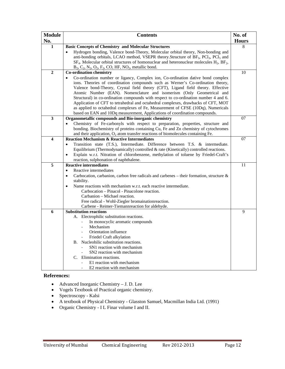| <b>Module</b>  | <b>Contents</b>                                                                                                                                                                                                                                                                                                                                                                                                                                                                                                                                                                                                                                                                                                              | No. of       |
|----------------|------------------------------------------------------------------------------------------------------------------------------------------------------------------------------------------------------------------------------------------------------------------------------------------------------------------------------------------------------------------------------------------------------------------------------------------------------------------------------------------------------------------------------------------------------------------------------------------------------------------------------------------------------------------------------------------------------------------------------|--------------|
| No.            |                                                                                                                                                                                                                                                                                                                                                                                                                                                                                                                                                                                                                                                                                                                              | <b>Hours</b> |
| 1              | <b>Basic Concepts of Chemistry and Molecular Structures</b><br>Hydrogen bonding, Valence bond-Theory, Molecular orbital theory, Non-bonding and<br>anti-bonding orbitals, LCAO method, VSEPR theory.Structure of BF <sub>3</sub> , PCl <sub>3</sub> , PCl <sub>5</sub> and<br>$SF_4$ . Molecular orbital structures of homonuclear and heteronuclear molecules $H_2$ , $BF_2$ ,<br>$B_2, C_2, N_2, O_2, F_2, CO, HF, NO_2$ , metallic bond.                                                                                                                                                                                                                                                                                  | 8            |
| $\overline{2}$ | <b>Co-ordination chemistry</b><br>Co-ordination number or ligancy, Complex ion, Co-ordination dative bond complex<br>$\bullet$<br>ions. Theories of coordination compounds such as Werner's Co-ordination theory,<br>Valence bond-Theory, Crystal field theory (CFT), Ligand field theory. Effective<br>Atomic Number (EAN). Nomenclature and isomerism (Only Geometrical and<br>Structural) in co-ordination compounds with respect to co-ordination number 4 and 6.<br>Application of CFT to tetrahedral and octahedral complexes, drawbacks of CFT, MOT<br>as applied to octahedral complexes of Fe, Measurement of CFSE (10Dq), Numericals<br>based on EAN and 10Dq measurement, Applications of coordination compounds. | 10           |
| 3              | Organometallic compounds and Bio-inorganic chemistry<br>Chemistry of Fe-carbonyls with respect to preparation, properties, structure and<br>bonding. Biochemistry of proteins containing Cu, Fe and Zn chemistry of cytochromes                                                                                                                                                                                                                                                                                                                                                                                                                                                                                              | 07           |
|                | and their application, $O_2$ atom transfer reactions of biomolecules containing Fe.                                                                                                                                                                                                                                                                                                                                                                                                                                                                                                                                                                                                                                          |              |
| 4              | <b>Reaction Mechanism &amp; Reactive Intermediates</b><br>Transition state (T.S.), Intermediate. Difference between T.S. & intermediate.<br>$\bullet$<br>Equilibrium (Thermodynamically) controlled & rate (Kinetically) controlled reactions.<br>Explain w.r.t. Nitration of chlorobenzene, methylation of toluene by Friedel-Craft's<br>$\bullet$<br>reaction, sulphonation of naphthalene.                                                                                                                                                                                                                                                                                                                                | 07           |
| $\overline{5}$ | <b>Reactive intermediates</b>                                                                                                                                                                                                                                                                                                                                                                                                                                                                                                                                                                                                                                                                                                | 11           |
|                | Reactive intermediates<br>$\bullet$<br>Carbocation, carbanion, carbon free radicals and carbenes - their formation, structure &<br>$\bullet$<br>stability.<br>Name reactions with mechanism w.r.t. each reactive intermediate.<br>$\bullet$<br>Carbocation – Pinacol - Pinacolone reaction.<br>Carbanion – Michael reaction.<br>Free radical - Wohl-Ziegler bromainationreaction.<br>Carbene - Reimer-Tiemannreaction for aldehyde.                                                                                                                                                                                                                                                                                          |              |
| 6              | <b>Substitution reactions</b>                                                                                                                                                                                                                                                                                                                                                                                                                                                                                                                                                                                                                                                                                                | 9            |
|                | A. Electrophilic substitution reactions.<br>In monocyclic aromatic compounds<br>Mechanism<br>Orientation influence<br>Friedel Craft alkylation<br>B. Nucleohilic substitution reactions.<br>SN1 reaction with mechanism<br>SN2 reaction with mechanism<br>C. Elimination reactions.<br>E1 reaction with mechanism<br>E2 reaction with mechanism                                                                                                                                                                                                                                                                                                                                                                              |              |

- Advanced Inorganic Chemistry J. D. Lee
- Vogels Textbook of Practical organic chemistry.
- Spectroscopy Kalsi
- A textbook of Physical Chemistry Glasston Samuel, Macmillan India Ltd. (1991)
- Organic Chemistry I L Finar volume I and II.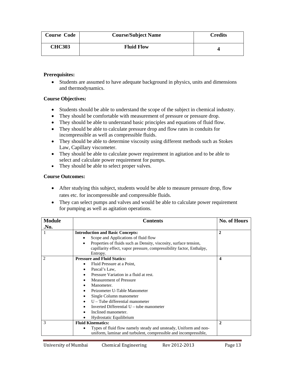| <b>Course Code</b> | <b>Course/Subject Name</b> | <b>Credits</b> |
|--------------------|----------------------------|----------------|
| <b>CHC303</b>      | <b>Fluid Flow</b>          |                |

• Students are assumed to have adequate background in physics, units and dimensions and thermodynamics.

## **Course Objectives:**

- Students should be able to understand the scope of the subject in chemical industry.
- They should be comfortable with measurement of pressure or pressure drop.
- They should be able to understand basic principles and equations of fluid flow.
- They should be able to calculate pressure drop and flow rates in conduits for incompressible as well as compressible fluids.
- They should be able to determine viscosity using different methods such as Stokes Law, Capillary viscometer.
- They should be able to calculate power requirement in agitation and to be able to select and calculate power requirement for pumps.
- They should be able to select proper valves.

- After studying this subject, students would be able to measure pressure drop, flow rates etc. for incompressible and compressible fluids.
- They can select pumps and valves and would be able to calculate power requirement for pumping as well as agitation operations.

| <b>Module</b> | <b>Contents</b>                                                                | <b>No. of Hours</b> |
|---------------|--------------------------------------------------------------------------------|---------------------|
| .No.          |                                                                                |                     |
|               | <b>Introduction and Basic Concepts:</b>                                        | $\mathbf{2}$        |
|               | Scope and Applications of fluid flow                                           |                     |
|               | Properties of fluids such as Density, viscosity, surface tension,<br>$\bullet$ |                     |
|               | capillarity effect, vapor pressure, compressibility factor, Enthalpy,          |                     |
|               | Entropy.                                                                       |                     |
| 2             | <b>Pressure and Fluid Statics:</b>                                             | $\boldsymbol{4}$    |
|               | Fluid Pressure at a Point,<br>$\bullet$                                        |                     |
|               | Pascal's Law.                                                                  |                     |
|               | Pressure Variation in a fluid at rest.                                         |                     |
|               | <b>Measurement of Pressure</b>                                                 |                     |
|               | Manometer.                                                                     |                     |
|               | Peizometer U-Table Manometer                                                   |                     |
|               | Single Column manometer                                                        |                     |
|               | $U$ – Tube differential manometer                                              |                     |
|               | Inverted Differential $U$ – tube manometer                                     |                     |
|               | Inclined manometer.                                                            |                     |
|               | Hydrostatic Equilibrium                                                        |                     |
| 3             | <b>Fluid Kinematics:</b>                                                       | $\mathbf{2}$        |
|               | Types of fluid flow namely steady and unsteady, Uniform and non-               |                     |
|               | uniform, laminar and turbulent, compressible and incompressible,               |                     |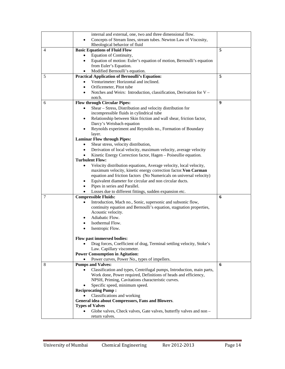| Concepts of Stream lines, stream tubes. Newton Law of Viscosity,<br>$\bullet$       |  |
|-------------------------------------------------------------------------------------|--|
|                                                                                     |  |
| Rheological behavior of fluid                                                       |  |
| 5<br><b>Basic Equations of Fluid Flow</b><br>4                                      |  |
| Equation of Continuity,                                                             |  |
| Equation of motion: Euler's equation of motion, Bernoulli's equation<br>$\bullet$   |  |
| from Euler's Equation.                                                              |  |
| Modified Bernoulli's equation.<br>$\bullet$                                         |  |
| 5<br><b>Practical Application of Bernoulli's Equation:</b><br>5                     |  |
| Venturimeter: Horizontal and inclined.<br>٠                                         |  |
| Orificemeter, Pitot tube<br>٠                                                       |  |
| Notches and Weirs: Introduction, classification, Derivation for V -                 |  |
| notch.                                                                              |  |
| $\boldsymbol{9}$<br><b>Flow through Circular Pipes:</b><br>6                        |  |
| Shear - Stress, Distribution and velocity distribution for<br>$\bullet$             |  |
| incompressible fluids in cylindrical tube                                           |  |
| Relationship between Skin friction and wall shear, friction factor,<br>$\bullet$    |  |
| Darcy's Weisbach equation                                                           |  |
| Reynolds experiment and Reynolds no., Formation of Boundary                         |  |
| layer.                                                                              |  |
| <b>Laminar Flow through Pipes:</b>                                                  |  |
| Shear stress, velocity distribution,<br>$\bullet$                                   |  |
| Derivation of local velocity, maximum velocity, average velocity<br>$\bullet$       |  |
| Kinetic Energy Correction factor, Hagen - Poiseullie equation.<br>$\bullet$         |  |
| <b>Turbulent Flow:</b>                                                              |  |
| Velocity distribution equations, Average velocity, local velocity,<br>$\bullet$     |  |
| maximum velocity, kinetic energy correction factor. Von Carman                      |  |
| equation and friction factors (No Numericals on universal velocity)                 |  |
| Equivalent diameter for circular and non circular ducts.<br>٠                       |  |
| Pipes in series and Parallel.<br>$\bullet$                                          |  |
| Losses due to different fittings, sudden expansion etc.                             |  |
| 7<br><b>Compressible Fluids:</b><br>6                                               |  |
| Introduction, Mach no., Sonic, supersonic and subsonic flow,<br>$\bullet$           |  |
| continuity equation and Bernoulli's equation, stagnation properties,                |  |
| Acoustic velocity.                                                                  |  |
| Adiabatic Flow.<br>٠                                                                |  |
| Isothermal Flow.<br>٠                                                               |  |
| Isentropic Flow.<br>$\bullet$                                                       |  |
| Flow past immersed bodies:                                                          |  |
| Drag forces, Coefficient of drag, Terminal settling velocity, Stoke's<br>$\bullet$  |  |
| Law. Capillary viscometer.                                                          |  |
| <b>Power Consumption in Agitation:</b>                                              |  |
| Power curves, Power No., types of impellers.                                        |  |
| <b>Pumps and Valves:</b><br>6<br>8                                                  |  |
| Classification and types, Centrifugal pumps, Introduction, main parts,<br>$\bullet$ |  |
| Work done, Power required, Definitions of heads and efficiency,                     |  |
| NPSH, Priming, Cavitations characteristic curves.                                   |  |
| Specific speed, minimum speed.                                                      |  |
| <b>Reciprocating Pump:</b>                                                          |  |
| Classifications and working                                                         |  |
| General idea about Compressors, Fans and Blowers.                                   |  |
| <b>Types of Valves</b>                                                              |  |
| Globe valves, Check valves, Gate valves, butterfly valves and non -                 |  |
| return valves.                                                                      |  |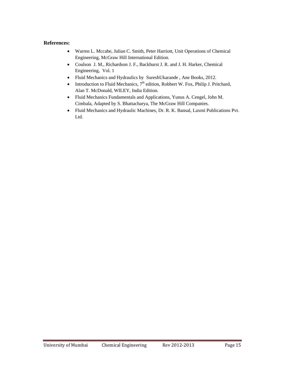- Warren L. Mccabe, Julian C. Smith, Peter Harriott, Unit Operations of Chemical Engineering, McGraw Hill International Edition.
- Coulson J. M., Richardson J. F., Backhurst J. R. and J. H. Harker, Chemical Engineering, Vol. 1
- Fluid Mechanics and Hydraulics by SureshUkarande , Ane Books, 2012.
- Introduction to Fluid Mechanics,  $7<sup>th</sup>$  edition, Robbert W. Fox, Philip J. Pritchard, Alan T. McDonald, WILEY, India Edition.
- Fluid Mechanics Fundamentals and Applications, Yunus A. Cengel, John M. Cimbala, Adapted by S. Bhattacharya, The McGraw Hill Companies.
- Fluid Mechanics and Hydraulic Machines, Dr. R. K. Bansal, Laxmi Publications Pvt. Ltd.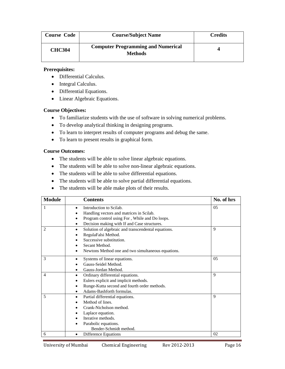| <b>Course Code</b> | <b>Course/Subject Name</b>                                  | <b>Credits</b> |
|--------------------|-------------------------------------------------------------|----------------|
| <b>CHC304</b>      | <b>Computer Programming and Numerical</b><br><b>Methods</b> |                |

- Differential Calculus.
- Integral Calculus.
- Differential Equations.
- Linear Algebraic Equations.

### **Course Objectives:**

- To familiarize students with the use of software in solving numerical problems.
- To develop analytical thinking in designing programs.
- To learn to interpret results of computer programs and debug the same.
- To learn to present results in graphical form.

- The students will be able to solve linear algebraic equations.
- The students will be able to solve non-linear algebraic equations.
- The students will be able to solve differential equations.
- The students will be able to solve partial differential equations.
- The students will be able make plots of their results.

| <b>Module</b> | <b>Contents</b>                                          | No. of hrs     |
|---------------|----------------------------------------------------------|----------------|
| 1             | Introduction to Scilab.<br>٠                             | 0.5            |
|               | Handling vectors and matrices in Scilab.                 |                |
|               | Program control using For, While and Do loops.           |                |
|               | Decision making with If and Case structures.<br>٠        |                |
| 2             | Solution of algebraic and transcendental equations.<br>٠ | 9              |
|               | RegulaFalsi Method.                                      |                |
|               | Successive substitution.                                 |                |
|               | Secant Method.                                           |                |
|               | Newtons Method one and two simultaneous equations.       |                |
| 3             | Systems of linear equations.                             | 0 <sub>5</sub> |
|               | Gauss-Seidel Method.                                     |                |
|               | Gauss-Jordan Method.                                     |                |
| 4             | Ordinary differential equations.<br>٠                    | 9              |
|               | Eulers explicit and implicit methods.<br>$\bullet$       |                |
|               | Runge-Kutta second and fourth order methods.             |                |
|               | Adams-Bashforth formulas.                                |                |
| 5             | Partial differential equations.<br>٠                     | $\mathbf Q$    |
|               | Method of lines.                                         |                |
|               | Crank-Nicholson method.                                  |                |
|               | Laplace equation.                                        |                |
|               | Iterative methods.                                       |                |
|               | Parabolic equations.                                     |                |
|               | Bender-Schmidt method.                                   |                |
| 6             | Difference Equations<br>٠                                | 02             |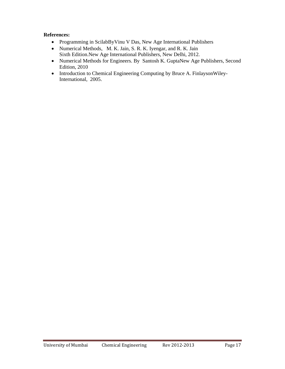- Programming in ScilabByVinu V Das, New Age International Publishers
- Numerical Methods, M. K. Jain, S. R. K. Iyengar, and R. K. Jain Sixth Edition.New Age International Publishers, New Delhi, 2012.
- Numerical Methods for Engineers. By Santosh K. GuptaNew Age Publishers, Second Edition, 2010
- Introduction to Chemical Engineering Computing by Bruce A. FinlaysonWiley-International, 2005.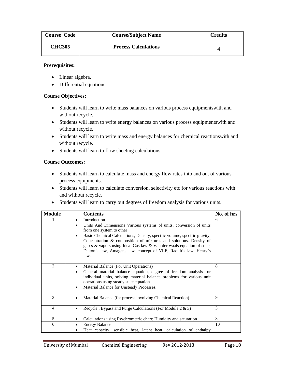| <b>Course Code</b> | <b>Course/Subject Name</b>  | <b>Credits</b> |
|--------------------|-----------------------------|----------------|
| <b>CHC305</b>      | <b>Process Calculations</b> |                |

- Linear algebra.
- Differential equations.

## **Course Objectives:**

- Students will learn to write mass balances on various process equipmentswith and without recycle.
- Students will learn to write energy balances on various process equipmentswith and without recycle.
- Students will learn to write mass and energy balances for chemical reactionswith and without recycle.
- Students will learn to flow sheeting calculations.

- Students will learn to calculate mass and energy flow rates into and out of various process equipments.
- Students will learn to calculate conversion, selectivity etc for various reactions with and without recycle.
- Students will learn to carry out degrees of freedom analysis for various units.

| <b>Module</b>  | <b>Contents</b>                                                                                                                                                                                                                                                                                                                                                                                                                              | No. of hrs |
|----------------|----------------------------------------------------------------------------------------------------------------------------------------------------------------------------------------------------------------------------------------------------------------------------------------------------------------------------------------------------------------------------------------------------------------------------------------------|------------|
| 1              | Introduction<br>٠<br>Units And Dimensions Various systems of units, conversion of units<br>٠<br>from one system to other<br>Basic Chemical Calculations, Density, specific volume, specific gravity,<br>$\bullet$<br>Concentration & composition of mixtures and solutions. Density of<br>gases & vapors using Ideal Gas law & Van der waals equation of state,<br>Dalton's law, Amagat, slaw, concept of VLE, Raoult's law, Henry's<br>law. | 6          |
| $\mathfrak{D}$ | Material Balance (For Unit Operations)<br>٠<br>General material balance equation, degree of freedom analysis for<br>$\bullet$<br>individual units, solving material balance problems for various unit<br>operations using steady state equation<br>Material Balance for Unsteady Processes.<br>$\bullet$                                                                                                                                     | 8          |
| 3              | Material Balance (for process involving Chemical Reaction)<br>٠                                                                                                                                                                                                                                                                                                                                                                              | 9          |
| 4              | Recycle, Bypass and Purge Calculations (For Module 2 & 3)<br>٠                                                                                                                                                                                                                                                                                                                                                                               | 3          |
| 5              | Calculations using Psychrometric chart; Humidity and saturation<br>٠                                                                                                                                                                                                                                                                                                                                                                         | 3          |
| 6              | <b>Energy Balance</b><br>Heat capacity, sensible heat, latent heat, calculation of enthalpy                                                                                                                                                                                                                                                                                                                                                  | 10         |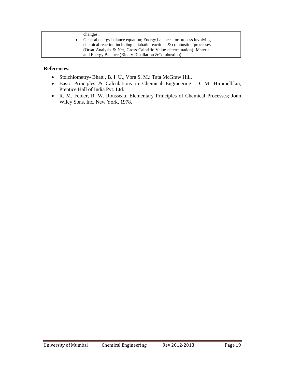| changes.                                                               |  |
|------------------------------------------------------------------------|--|
| General energy balance equation; Energy balances for process involving |  |
| chemical reaction including adiabatic reactions & combustion processes |  |
| (Orsat Analysis & Net, Gross Calorific Value determination). Material  |  |
| and Energy Balance (Binary Distillation & Combustion)                  |  |

- Stoichiometry- Bhatt , B. I. U., Vora S. M.: Tata McGraw Hill.
- Basic Principles & Calculations in Chemical Engineering- D. M. Himmelblau, Prentice Hall of India Pvt. Ltd.
- R. M. Felder, R. W. Rousseau, Elementary Principles of Chemical Processes; Jonn Wiley Sons, Inc, New York, 1978.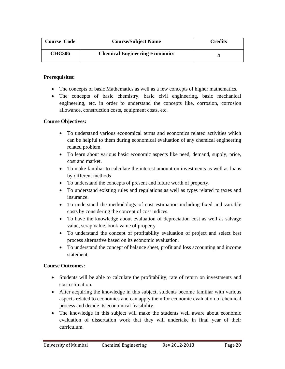| <b>Course Code</b> | <b>Course/Subject Name</b>            | Credits |
|--------------------|---------------------------------------|---------|
| <b>CHC306</b>      | <b>Chemical Engineering Economics</b> |         |

- The concepts of basic Mathematics as well as a few concepts of higher mathematics.
- The concepts of basic chemistry, basic civil engineering, basic mechanical engineering, etc. in order to understand the concepts like, corrosion, corrosion allowance, construction costs, equipment costs, etc.

## **Course Objectives:**

- To understand various economical terms and economics related activities which can be helpful to them during economical evaluation of any chemical engineering related problem.
- To learn about various basic economic aspects like need, demand, supply, price, cost and market.
- To make familiar to calculate the interest amount on investments as well as loans by different methods
- To understand the concepts of present and future worth of property.
- To understand existing rules and regulations as well as types related to taxes and insurance.
- To understand the methodology of cost estimation including fixed and variable costs by considering the concept of cost indices.
- To have the knowledge about evaluation of depreciation cost as well as salvage value, scrap value, book value of property
- To understand the concept of profitability evaluation of project and select best process alternative based on its economic evaluation.
- To understand the concept of balance sheet, profit and loss accounting and income statement.

- Students will be able to calculate the profitability, rate of return on investments and cost estimation.
- After acquiring the knowledge in this subject, students become familiar with various aspects related to economics and can apply them for economic evaluation of chemical process and decide its economical feasibility.
- The knowledge in this subject will make the students well aware about economic evaluation of dissertation work that they will undertake in final year of their curriculum.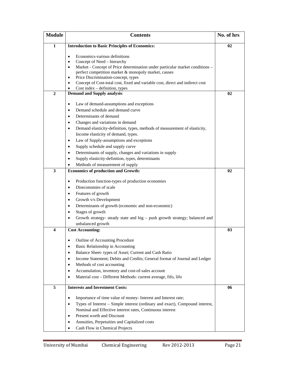| <b>Module</b>  | <b>Contents</b>                                                                            | No. of hrs |
|----------------|--------------------------------------------------------------------------------------------|------------|
| 1              | <b>Introduction to Basic Principles of Economics:</b>                                      | 02         |
|                |                                                                                            |            |
|                | Economics-various definitions<br>$\bullet$<br>Concept of Need – hierarchy                  |            |
|                | Market - Concept of Price determination under particular market conditions -<br>$\bullet$  |            |
|                | perfect competition market & monopoly market, causes                                       |            |
|                | Price Discrimination-concept, types<br>$\bullet$                                           |            |
|                | Concept of Cost-total cost, fixed and variable cost, direct and indirect cost<br>$\bullet$ |            |
|                | $Cost$ index $-$ definition, types                                                         |            |
| $\overline{2}$ | <b>Demand and Supply analysis:</b>                                                         | 02         |
|                |                                                                                            |            |
|                | Law of demand-assumptions and exceptions<br>$\bullet$                                      |            |
|                | Demand schedule and demand curve<br>$\bullet$                                              |            |
|                | Determinants of demand<br>$\bullet$                                                        |            |
|                | Changes and variations in demand<br>$\bullet$                                              |            |
|                | Demand elasticity-definition, types, methods of measurement of elasticity,<br>$\bullet$    |            |
|                | Income elasticity of demand, types.                                                        |            |
|                | Law of Supply-assumptions and exceptions<br>$\bullet$                                      |            |
|                | Supply schedule and supply curve<br>$\bullet$                                              |            |
|                | Determinants of supply, changes and variations in supply<br>$\bullet$                      |            |
|                | Supply elasticity-definition, types, determinants<br>$\bullet$                             |            |
|                | Methods of measurement of supply                                                           |            |
| 3              | <b>Economics of production and Growth:</b>                                                 | 02         |
|                | Production function-types of production economies<br>$\bullet$                             |            |
|                | Diseconomies of scale<br>$\bullet$                                                         |            |
|                | Features of growth<br>$\bullet$                                                            |            |
|                | Growth v/s Development<br>$\bullet$                                                        |            |
|                | Determinants of growth (economic and non-economic)<br>$\bullet$                            |            |
|                | Stages of growth<br>$\bullet$                                                              |            |
|                | Growth strategy- steady state and big - push growth strategy; balanced and                 |            |
|                | unbalanced growth                                                                          |            |
| 4              | <b>Cost Accounting:</b>                                                                    | 03         |
|                |                                                                                            |            |
|                | Outline of Accounting Procedure                                                            |            |
|                | Basic Relationship in Accounting<br>٠                                                      |            |
|                | Balance Sheet- types of Asset; Current and Cash Ratio<br>٠                                 |            |
|                | Income Statement; Debits and Credits; General format of Journal and Ledger<br>$\bullet$    |            |
|                | Methods of cost accounting<br>$\bullet$                                                    |            |
|                | Accumulation, inventory and cost-of-sales account<br>$\bullet$                             |            |
|                | Material cost - Different Methods: current average, fifo, lifo                             |            |
|                |                                                                                            |            |
| 5              | <b>Interests and Investment Costs:</b>                                                     | 06         |
|                | Importance of time value of money- Interest and Interest rate;<br>$\bullet$                |            |
|                | Types of Interest - Simple interest (ordinary and exact), Compound interest,<br>$\bullet$  |            |
|                | Nominal and Effective interest rates, Continuous interest                                  |            |
|                | Present worth and Discount                                                                 |            |
|                | Annuities, Perpetuities and Capitalized costs                                              |            |
|                | Cash Flow in Chemical Projects                                                             |            |
|                |                                                                                            |            |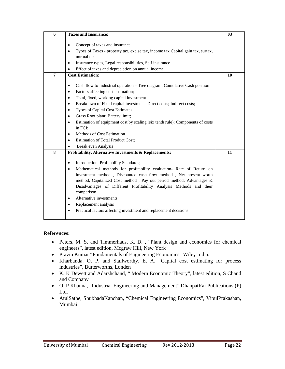| 6 | <b>Taxes and Insurance:</b>                                                                  | 0 <sub>3</sub> |
|---|----------------------------------------------------------------------------------------------|----------------|
|   |                                                                                              |                |
|   | Concept of taxes and insurance<br>$\bullet$                                                  |                |
|   | Types of Taxes - property tax, excise tax, income tax Capital gain tax, surtax,<br>$\bullet$ |                |
|   | normal tax                                                                                   |                |
|   | Insurance types, Legal responsibilities, Self insurance<br>$\bullet$                         |                |
|   | Effect of taxes and depreciation on annual income<br>$\bullet$                               |                |
| 7 | <b>Cost Estimation:</b>                                                                      | 10             |
|   |                                                                                              |                |
|   | Cash flow to Industrial operation – Tree diagram; Cumulative Cash position<br>$\bullet$      |                |
|   | Factors affecting cost estimation;<br>$\bullet$                                              |                |
|   | Total, fixed, working capital investment<br>$\bullet$                                        |                |
|   | Breakdown of Fixed capital investment- Direct costs; Indirect costs;<br>$\bullet$            |                |
|   | <b>Types of Capital Cost Estimates</b><br>$\bullet$                                          |                |
|   | Grass Root plant; Battery limit;<br>$\bullet$                                                |                |
|   | Estimation of equipment cost by scaling (six tenth rule); Components of costs<br>$\bullet$   |                |
|   | in FCI;                                                                                      |                |
|   | Methods of Cost Estimation<br>$\bullet$                                                      |                |
|   | <b>Estimation of Total Product Cost;</b><br>$\bullet$                                        |                |
|   | Break even Analysis                                                                          |                |
| 8 | Profitability, Alternative Investments & Replacements:                                       | 11             |
|   |                                                                                              |                |
|   | Introduction; Profitability Standards;<br>$\bullet$                                          |                |
|   | Mathematical methods for profitability evaluation- Rate of Return on<br>$\bullet$            |                |
|   | investment method, Discounted cash flow method, Net present worth                            |                |
|   | method, Capitalized Cost method, Pay out period method; Advantages &                         |                |
|   | Disadvantages of Different Profitability Analysis Methods and their                          |                |
|   | comparison                                                                                   |                |
|   | Alternative investments<br>$\bullet$                                                         |                |
|   | Replacement analysis<br>$\bullet$                                                            |                |
|   | Practical factors affecting investment and replacement decisions<br>$\bullet$                |                |
|   |                                                                                              |                |

- Peters, M. S. and Timmerhaus, K. D. , "Plant design and economics for chemical engineers", latest edition, Mcgraw Hill, New York
- Pravin Kumar "Fundamentals of Engineering Economics" Wiley India.
- Kharbanda, O. P. and Stallworthy, E. A. "Capital cost estimating for process industries", Butterworths, Londen
- K. K Dewett and Adarshchand, " Modern Economic Theory", latest edition, S Chand and Company
- O. P Khanna, "Industrial Engineering and Management" DhanpatRai Publications (P) Ltd.
- AtulSathe, ShubhadaKanchan, "Chemical Engineering Economics", VipulPrakashan, Mumbai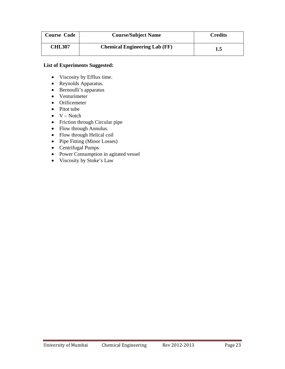| <b>Course Code</b> | <b>Course/Subject Name</b>           | <b>Credits</b> |
|--------------------|--------------------------------------|----------------|
| <b>CHL307</b>      | <b>Chemical Engineering Lab (FF)</b> | 1.5            |

- Viscosity by Efflux time.
- Reynolds Apparatus.
- Bernoulli's apparatus
- Venturimeter
- Orificemeter
- Pitot tube
- $\bullet$  V Notch
- Friction through Circular pipe
- Flow through Annulus.
- Flow through Helical coil
- Pipe Fitting (Minor Losses)
- Centrifugal Pumps
- Power Consumption in agitated vessel
- Viscosity by Stoke's Law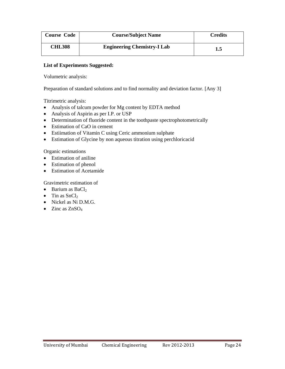| <b>Course Code</b> | <b>Course/Subject Name</b>         | <b>Credits</b> |
|--------------------|------------------------------------|----------------|
| <b>CHL308</b>      | <b>Engineering Chemistry-I Lab</b> | 1.5            |

Volumetric analysis:

Preparation of standard solutions and to find normality and deviation factor. [Any 3]

Titrimetric analysis:

- Analysis of talcum powder for Mg content by EDTA method
- Analysis of Aspirin as per I.P. or USP
- Determination of fluoride content in the toothpaste spectrophotometrically
- Estimation of CaO in cement
- Estiimation of Vitamin C using Ceric ammonium sulphate
- Estimation of Glycine by non aqueous titration using perchloricacid

Organic estimations

- Estimation of aniline
- Estimation of phenol
- Estimation of Acetamide

Gravimetric estimation of

- Barium as  $BaCl<sub>2</sub>$
- Tin as  $SnCl<sub>2</sub>$
- Nickel as Ni D.M.G.
- Zinc as  $ZnSO<sub>4</sub>$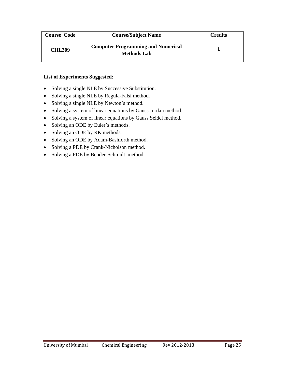| <b>Course Code</b> | <b>Course/Subject Name</b>                                      | <b>Credits</b> |
|--------------------|-----------------------------------------------------------------|----------------|
| <b>CHL309</b>      | <b>Computer Programming and Numerical</b><br><b>Methods Lab</b> |                |

- Solving a single NLE by Successive Substitution.
- Solving a single NLE by Regula-Falsi method.
- Solving a single NLE by Newton's method.
- Solving a system of linear equations by Gauss Jordan method.
- Solving a system of linear equations by Gauss Seidel method.
- Solving an ODE by Euler's methods.
- Solving an ODE by RK methods.
- Solving an ODE by Adam-Bashforth method.
- Solving a PDE by Crank-Nicholson method.
- Solving a PDE by Bender-Schmidt method.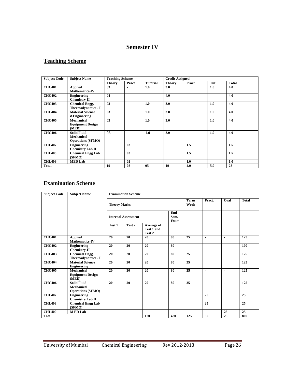# **Semester IV**

# **Teaching Scheme**

| <b>Subject Code</b> | <b>Subject Name</b>      | <b>Teaching Scheme</b> |                |                          | <b>Credit Assigned</b> |       |     |              |
|---------------------|--------------------------|------------------------|----------------|--------------------------|------------------------|-------|-----|--------------|
|                     |                          | <b>Theory</b>          | Pract.         | <b>Tutorial</b>          | <b>Theory</b>          | Pract | Tut | <b>Total</b> |
| <b>CHC401</b>       | <b>Applied</b>           | 03                     | $\blacksquare$ | 1.0                      | 3.0                    |       | 1.0 | 4.0          |
|                     | <b>Mathematics-IV</b>    |                        |                |                          |                        |       |     |              |
| <b>CHC402</b>       | Engineering              | 04                     |                | $\overline{\phantom{0}}$ | 4.0                    |       |     | 4.0          |
|                     | <b>Chemistry-II</b>      |                        |                |                          |                        |       |     |              |
| <b>CHC403</b>       | <b>Chemical Engg.</b>    | 0 <sub>3</sub>         |                | 1.0                      | 3.0                    |       | 1.0 | 4.0          |
|                     | Thermodynamics - I       |                        |                |                          |                        |       |     |              |
| <b>CHC404</b>       | <b>Material Science</b>  | 0 <sub>3</sub>         |                | 1.0                      | 3.0                    |       | 1.0 | 4.0          |
|                     | <b>&amp;Engineering</b>  |                        |                |                          |                        |       |     |              |
| <b>CHC405</b>       | Mechanical               | 0 <sub>3</sub>         |                | 1.0                      | 3.0                    |       | 1.0 | 4.0          |
|                     | <b>Equipment Design</b>  |                        |                |                          |                        |       |     |              |
|                     | (MED)                    |                        |                |                          |                        |       |     |              |
| <b>CHC406</b>       | <b>Solid Fluid</b>       | 0 <sub>3</sub>         |                | 1.0                      | 3.0                    |       | 1.0 | 4.0          |
|                     | Mechanical               |                        |                |                          |                        |       |     |              |
|                     | <b>Operations (SFMO)</b> |                        |                |                          |                        |       |     |              |
| <b>CHL407</b>       | Engineering              |                        | 0 <sub>3</sub> |                          |                        | 1.5   |     | 1.5          |
|                     | <b>Chemistry Lab II</b>  |                        |                |                          |                        |       |     |              |
| <b>CHL408</b>       | <b>Chemical Engg Lab</b> |                        | 03             |                          |                        | 1.5   |     | 1.5          |
|                     | (SFMO)                   |                        |                |                          |                        |       |     |              |
| <b>CHL409</b>       | <b>MED Lab</b>           |                        | 02             |                          |                        | 1.0   |     | 1.0          |
| <b>Total</b>        |                          | 19                     | 08             | 0 <sub>5</sub>           | 19                     | 4.0   | 5.0 | 28           |

# **Examination Scheme**

| <b>Subject Code</b> | <b>Subject Name</b>                                          | <b>Examination Scheme</b>  |        |                                    |     |              |                 |                          |                 |
|---------------------|--------------------------------------------------------------|----------------------------|--------|------------------------------------|-----|--------------|-----------------|--------------------------|-----------------|
|                     |                                                              | <b>Theory Marks</b>        |        |                                    |     | Term<br>Work | Pract.          | Oral                     | <b>Total</b>    |
|                     |                                                              | <b>Internal Assessment</b> |        | End<br>Sem.<br>Exam                |     |              |                 |                          |                 |
|                     |                                                              | Test 1                     | Test 2 | Average of<br>Test 1 and<br>Test 2 |     |              |                 |                          |                 |
| <b>CHC401</b>       | <b>Applied</b><br><b>Mathematics-IV</b>                      | 20                         | 20     | 20                                 | 80  | 25           | $\blacksquare$  | $\blacksquare$           | 125             |
| <b>CHC402</b>       | <b>Engineering</b><br><b>Chemistry-II</b>                    | 20                         | 20     | 20                                 | 80  |              |                 | $\blacksquare$           | 100             |
| <b>CHC403</b>       | <b>Chemical Engg.</b><br>Thermodynamics - I                  | 20                         | 20     | 20                                 | 80  | 25           |                 |                          | 125             |
| <b>CHC404</b>       | <b>Material Science</b><br>Engineering                       | 20                         | 20     | 20                                 | 80  | 25           |                 |                          | 125             |
| <b>CHC405</b>       | Mechanical<br><b>Equipment Design</b><br>(MED)               | 20                         | 20     | 20                                 | 80  | 25           | ä,              | $\overline{\phantom{a}}$ | 125             |
| <b>CHC406</b>       | <b>Solid Fluid</b><br>Mechanical<br><b>Operations (SFMO)</b> | 20                         | 20     | 20                                 | 80  | 25           |                 | $\blacksquare$           | 125             |
| <b>CHL407</b>       | <b>Engineering</b><br><b>Chemistry Lab II</b>                |                            |        |                                    |     |              | $\overline{25}$ |                          | $\overline{25}$ |
| <b>CHL408</b>       | <b>Chemical Engg Lab</b><br>(SFMO)                           |                            |        |                                    |     |              | 25              |                          | 25              |
| <b>CHL409</b>       | <b>MED Lab</b>                                               |                            |        |                                    |     |              |                 | 25                       | 25              |
| <b>Total</b>        |                                                              |                            |        | 120                                | 480 | 125          | 50              | 25                       | 800             |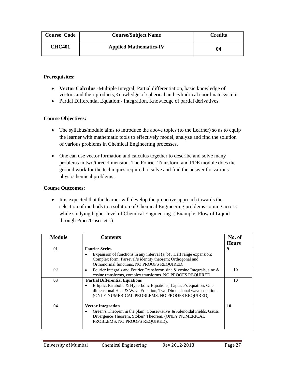| <b>Course Code</b> | <b>Course/Subject Name</b>    | <b>Credits</b> |
|--------------------|-------------------------------|----------------|
| <b>CHC401</b>      | <b>Applied Mathematics-IV</b> | 04             |

- **Vector Calculus**:-Multiple Integral, Partial differentiation, basic knowledge of vectors and their products,Knowledge of spherical and cylindrical coordinate system.
- Partial Differential Equation: Integration, Knowledge of partial derivatives.

## **Course Objectives:**

- The syllabus/module aims to introduce the above topics (to the Learner) so as to equip the learner with mathematic tools to effectively model, analyze and find the solution of various problems in Chemical Engineering processes.
- One can use vector formation and calculus together to describe and solve many problems in two/three dimension. The Fourier Transform and PDE module does the ground work for the techniques required to solve and find the answer for various physiochemical problems.

## **Course Outcomes:**

• It is expected that the learner will develop the proactive approach towards the selection of methods to a solution of Chemical Engineering problems coming across while studying higher level of Chemical Engineering .( Example: Flow of Liquid through Pipes/Gases etc.)

| <b>Module</b> | <b>Contents</b>                                                                                                                                                                                                                    | No. of<br><b>Hours</b> |
|---------------|------------------------------------------------------------------------------------------------------------------------------------------------------------------------------------------------------------------------------------|------------------------|
| 01            | <b>Fourier Series</b><br>Expansion of functions in any interval $(a, b)$ . Half range expansion;<br>Complex form; Parseval's identity theorem; Orthogonal and<br>Orthonormal functions. NO PROOFS REQUIRED.                        | 9                      |
| 02            | Fourier Integrals and Fourier Transform; sine & cosine Integrals, sine &<br>cosine transforms, complex transforms. NO PROOFS REQUIRED.                                                                                             | 10                     |
| 03            | <b>Partial Differential Equations</b><br>Elliptic, Parabolic & Hyperbolic Equations; Laplace's equation; One<br>dimensional Heat & Wave Equation, Two Dimensional wave equation.<br>(ONLY NUMERICAL PROBLEMS. NO PROOFS REQUIRED). | 10                     |
| 04            | <b>Vector Integration</b><br>Green's Theorem in the plain; Conservative & Solenoidal Fields. Gauss<br>Divergence Theorem, Stokes' Theorem. (ONLY NUMERICAL<br>PROBLEMS. NO PROOFS REQUIRED).                                       | 10                     |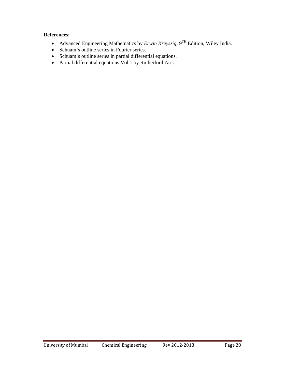- Advanced Engineering Mathematics by *Erwin Kreyszig*, 9TH Edition, Wiley India.
- Schuam's outline series in Fourier series.
- Schuam's outline series in partial differential equations.
- Partial differential equations Vol 1 by Rutherford Aris.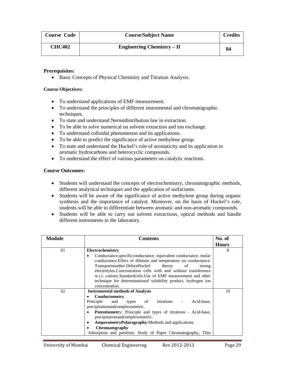| <b>Course Code</b> | <b>Course/Subject Name</b>        | Credits |
|--------------------|-----------------------------------|---------|
| <b>CHC402</b>      | <b>Engineering Chemistry – II</b> | 04      |

• Basic Concepts of Physical Chemistry and Titration Analysis.

#### **Course Objectives:**

- To understand applications of EMF measurement.
- To understand the principles of different instrumental and chromatographic techniques.
- To state and understand Nernstdistribution law in extraction.
- To be able to solve numerical on solvent extraction and ion exchange.
- To understand colloidal phenomenon and its applications.
- To be able to predict the significance of active methylene group.
- To state and understand the Huckel's rule of aromaticity and its application to aromatic hydrocarbons and heterocyclic compounds.
- To understand the effect of various parameters on catalytic reactions.

- Students will understand the concepts of electrochemistry, chromatographic methods, different analytical techniques and the application of surfactants.
- Students will be aware of the significance of active methylene group during organic synthesis and the importance of catalyst. Moreover, on the basis of Huckel's rule, students will be able to differentiate between aromatic and non-aromatic compounds.
- Students will be able to carry out solvent extractions, optical methods and handle different instruments in the laboratory.

| <b>Module</b> | <b>Contents</b>                                                                      | No. of       |
|---------------|--------------------------------------------------------------------------------------|--------------|
|               |                                                                                      | <b>Hours</b> |
| 01            | Electrochemistry                                                                     | 8            |
|               | Conductance, specific conductance, equivalent conductance, molar<br>٠                |              |
|               | conductance. Effect of dilution and temperature on conductance.                      |              |
|               | Transportnumber.DebyeHuckel theory<br>of<br>strong                                   |              |
|               | electrolytes.Concentration cells with and without transference                       |              |
|               | w.r.t. cations.Standardcells.Use of EMF measurement and other                        |              |
|               | technique for determination of solubility product, hydrogen ion                      |              |
|               | concentration.                                                                       |              |
| 02            | <b>Instrumental methods of Analysis</b>                                              | 10           |
|               | Conductometry                                                                        |              |
|               | titrations<br>Principle<br>Acid-base,<br>and<br>types of<br>$\overline{\phantom{a}}$ |              |
|               | precipitationandcomplexometric.                                                      |              |
|               | Potentiometry: Principle and types of titrations - Acid-base,<br>٠                   |              |
|               | precipitationandcomplexometric.                                                      |              |
|               | AmperometryPolarography:Methods and applications.<br>٠                               |              |
|               | Chromatography                                                                       |              |
|               | Adsorption and partition. Study of Paper Chromatography, Thin                        |              |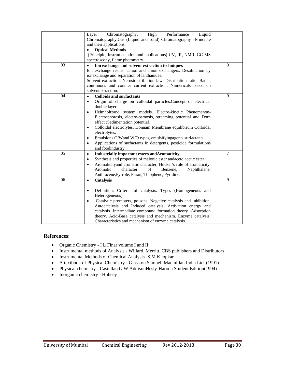|    | Chromatography,<br>High<br>Performance<br>Liquid<br>Layer<br>Chromatography, Gas (Liquid and solid) Chromatography -Principle<br>and their applications. |        |
|----|----------------------------------------------------------------------------------------------------------------------------------------------------------|--------|
|    | <b>Optical Methods</b><br>$\bullet$<br>(Principle, Instrumentation and applications) UV, IR, NMR, GC-MS                                                  |        |
|    | spectroscopy, flame photometry.                                                                                                                          |        |
| 03 | Ion exchange and solvent extraction techniques                                                                                                           | 9      |
|    | Ion exchange resins, cation and anion exchangers. Desalination by                                                                                        |        |
|    | ionexchange and separation of lanthanides.<br>Solvent extraction. Nernstdistribution law. Distribution ratio. Batch,                                     |        |
|    | continuous and counter current extraction. Numericals based on                                                                                           |        |
|    | solventextraction.                                                                                                                                       |        |
| 04 | <b>Colloids and surfactants</b><br>$\bullet$                                                                                                             | 9      |
|    | Origin of charge on colloidal particles. Concept of electrical<br>$\bullet$                                                                              |        |
|    | double layer.<br>Helmholtzand system models. Electro-kinetic Phenomenon-<br>$\bullet$                                                                    |        |
|    | Electrophoresis, electro-osmosis, streaming potential and Dorn                                                                                           |        |
|    | effect (Sedimentation potential).                                                                                                                        |        |
|    | Colloidal electrolytes, Donnam Membrane equilibrium Colloidal<br>$\bullet$                                                                               |        |
|    | electrolytes.<br>$\bullet$                                                                                                                               |        |
|    | Emulsions O/Wand W/O types, emulsifyingagents, surfactants.<br>Applications of surfactants in detergents, pesticide formulations<br>$\bullet$            |        |
|    | and foodindustry.                                                                                                                                        |        |
| 05 | <b>Industrially important esters and Aromaticity</b><br>$\bullet$                                                                                        | $\tau$ |
|    | Synthesis and properties of malonic ester andaceto acetic ester<br>$\bullet$                                                                             |        |
|    | Aromaticityand aromatic character, Huckel's rule of aromaticity,<br>$\bullet$<br>Aromatic<br>character<br>of                                             |        |
|    | Benzene.<br>Naphthalene,<br>Anthracene, Pyrrole, Furan, Thiophene, Pyridine.                                                                             |        |
| 06 | <b>Catalysis</b><br>$\bullet$                                                                                                                            | 9      |
|    |                                                                                                                                                          |        |
|    | Definition. Criteria of catalysis. Types (Homogeneous and<br>$\bullet$                                                                                   |        |
|    | Heterogeneous).                                                                                                                                          |        |
|    | Catalytic promoters, poisons. Negative catalysis and inhibition.<br>$\bullet$<br>Autocatalysis and Induced catalysis. Activation energy and              |        |
|    | catalysis. Intermediate compound formation theory. Adsorption                                                                                            |        |
|    | theory. Acid-Base catalysis and mechanism. Enzyme catalysis.                                                                                             |        |
|    | Characteristics and mechanism of enzyme catalysis.                                                                                                       |        |

- Organic Chemistry I L Finar volume I and II
- Instrumental methods of Analysis Willard, Merritt, CBS publishers and Distributors
- Instrumental Methods of Chemical Analysis -S.M.Khopkar
- A textbook of Physical Chemistry Glasston Samuel, Macmillan India Ltd. (1991)
- Physical chemistry Castellan G.W.AddisonHesly-Haroda Student Edition(1994)
- Inorganic chemistry Huheey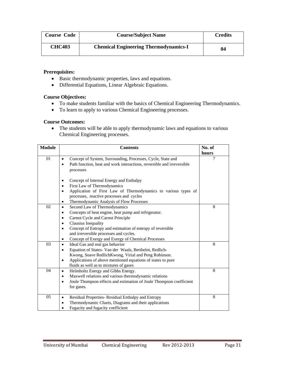| <b>Course Code</b> | <b>Course/Subject Name</b>                   | Credits |
|--------------------|----------------------------------------------|---------|
| <b>CHC403</b>      | <b>Chemical Engineering Thermodynamics-I</b> | 04      |

- Basic thermodynamic properties, laws and equations.
- Differential Equations, Linear Algebraic Equations.

### **Course Objectives:**

- To make students familiar with the basics of Chemical Engineering Thermodynamics.
- To learn to apply to various Chemical Engineering processes.

### **Course Outcomes:**

• The students will be able to apply thermodynamic laws and equations to various Chemical Engineering processes.

| <b>Module</b> | <b>Contents</b>                                                                                                                                                                                                                                                                                                                                                                                                   | No. of |
|---------------|-------------------------------------------------------------------------------------------------------------------------------------------------------------------------------------------------------------------------------------------------------------------------------------------------------------------------------------------------------------------------------------------------------------------|--------|
|               |                                                                                                                                                                                                                                                                                                                                                                                                                   | hours  |
| 01            | Concept of System, Surrounding, Processes, Cycle, State and<br>$\bullet$<br>Path function, heat and work interactions, reversible and irreversible<br>$\bullet$<br>processes                                                                                                                                                                                                                                      | 7      |
|               | Concept of Internal Energy and Enthalpy<br>$\bullet$<br>First Law of Thermodynamics<br>$\bullet$<br>Application of First Law of Thermodynamics to various types of<br>٠<br>processes, reactive processes and cycles<br>Thermodynamic Analysis of Flow Processes<br>٠                                                                                                                                              |        |
| 02            | Second Law of Thermodynamics<br>$\bullet$<br>Concepts of heat engine, heat pump and refrigerator.<br>٠<br>Carnot Cycle and Carnot Principle<br>$\bullet$<br>Clausius Inequality<br>$\bullet$<br>Concept of Entropy and estimation of entropy of reversible<br>$\bullet$<br>and irreversible processes and cycles.<br>Concept of Exergy and Exergy of Chemical Processes<br>$\bullet$                              | 8      |
| 03<br>04      | Ideal Gas and real gas behavior<br>$\bullet$<br>Equation of States-Van der Waals, Berthelot, Redlich-<br>$\bullet$<br>Kwong, Soave RedlichKwong, Virial and Peng Robinson.<br>Applications of above mentioned equations of states to pure<br>$\bullet$<br>fluids as well as to mixtures of gases<br>Helmholtz Energy and Gibbs Energy.<br>$\bullet$<br>Maxwell relations and various thermodynamic relations<br>٠ | 8<br>8 |
| 05            | Joule Thompson effects and estimation of Joule Thompson coefficient<br>$\bullet$<br>for gases.<br>Residual Properties-Residual Enthalpy and Entropy<br>$\bullet$<br>Thermodynamic Charts, Diagrams and their applications<br>Fugacity and fugacity coefficient                                                                                                                                                    | 8      |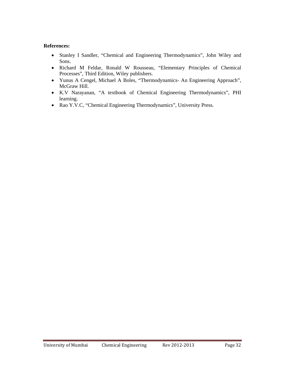- Stanley I Sandler, "Chemical and Engineering Thermodynamics", John Wiley and Sons.
- Richard M Feldar, Ronald W Rousseau, "Elementary Principles of Chemical Processes", Third Edition, Wiley publishers.
- Yunus A Cengel, Michael A Boles, "Thermodynamics- An Engineering Approach", McGraw Hill.
- K.V Narayanan, "A textbook of Chemical Engineering Thermodynamics", PHI learning.
- Rao Y.V.C, "Chemical Engineering Thermodynamics", University Press.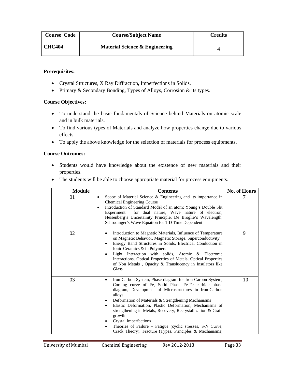| <b>Course Code</b> | <b>Course/Subject Name</b>                | Credits |
|--------------------|-------------------------------------------|---------|
| <b>CHC404</b>      | <b>Material Science &amp; Engineering</b> |         |

- Crystal Structures, X Ray Diffraction, Imperfections in Solids.
- Primary & Secondary Bonding, Types of Alloys, Corrosion & its types.

### **Course Objectives:**

- To understand the basic fundamentals of Science behind Materials on atomic scale and in bulk materials.
- To find various types of Materials and analyze how properties change due to various effects.
- To apply the above knowledge for the selection of materials for process equipments.

- Students would have knowledge about the existence of new materials and their properties.
- The students will be able to choose appropriate material for process equipments.

| <b>Module</b> | <b>Contents</b>                                                                                                                                                                                                                                                                                                                                                                                                                                                                                                                                            | <b>No. of Hours</b> |
|---------------|------------------------------------------------------------------------------------------------------------------------------------------------------------------------------------------------------------------------------------------------------------------------------------------------------------------------------------------------------------------------------------------------------------------------------------------------------------------------------------------------------------------------------------------------------------|---------------------|
| 01            | Scope of Material Science & Engineering and its importance in<br>٠<br>Chemical Engineering Course<br>Introduction of Standard Model of an atom; Young's Double Slit<br>٠<br>for dual nature, Wave nature of electron,<br>Experiment<br>Heisenberg's Uncertainity Principle, De Broglie's Wavelength,<br>Schrodinger's Wave Equation for 1-D Time Dependent.                                                                                                                                                                                                |                     |
| 02            | Introduction to Magnetic Materials, Influence of Temperature<br>on Magnetic Behavior, Magnetic Storage, Superconductivity<br>Energy Band Structures in Solids, Electrical Conduction in<br>٠<br>Ionic Ceramics & in Polymers<br>Light Interaction with solids, Atomic & Electronic<br>Interactions, Optical Properties of Metals, Optical Properties<br>of Non Metals, Opacity & Translucency in Insulators like<br>Glass                                                                                                                                  | 9                   |
| 03            | Iron-Carbon System, Phase diagram for Iron-Carbon System,<br>Cooling curve of Fe, Solid Phase Fe-Fe carbide phase<br>diagram, Development of Microstructures in Iron-Carbon<br>alloys<br>Deformation of Materials & Strengthening Mechanisms<br>٠<br>Elastic Deformation, Plastic Deformation, Mechanisms of<br>٠<br>strengthening in Metals, Recovery, Recrystallization & Grain<br>growth<br><b>Crystal Imperfections</b><br>Theories of Failure - Fatigue (cyclic stresses, S-N Curve,<br>٠<br>Crack Theory), Fracture (Types, Principles & Mechanisms) | 10                  |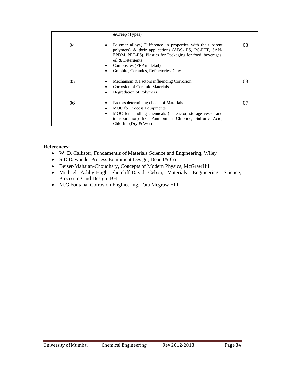|    | $&$ Creep (Types)                                                                                                                                                                                                                                                            |    |
|----|------------------------------------------------------------------------------------------------------------------------------------------------------------------------------------------------------------------------------------------------------------------------------|----|
| 04 | Polymer alloys Difference in properties with their parent<br>polymers) & their applications (ABS- PS, PC-PET, SAN-<br>EPDM, PET-PS), Plastics for Packaging for food, beverages,<br>oil & Detergents<br>Composites (FRP in detail)<br>Graphite, Ceramics, Refractories, Clay | 03 |
| 05 | Mechanism & Factors influencing Corrosion<br><b>Corrosion of Ceramic Materials</b><br>Degradation of Polymers                                                                                                                                                                | 03 |
| 06 | Factors determining choice of Materials<br><b>MOC</b> for Process Equipments<br>MOC for handling chemicals (in reactor, storage vessel and<br>transportation) like Ammonium Chloride, Sulfuric Acid,<br>Chlorine (Dry & Wet)                                                 | 07 |

- W. D. Callister, Fundamentls of Materials Science and Engineering, Wiley
- S.D.Dawande, Process Equipment Design, Denett& Co
- Beiser-Mahajan-Choudhary, Concepts of Modern Physics, McGrawHill
- Michael Ashby-Hugh Shercliff-David Cebon, Materials- Engineering, Science, Processing and Design, BH
- M.G.Fontana, Corrosion Engineering, Tata Mcgraw Hill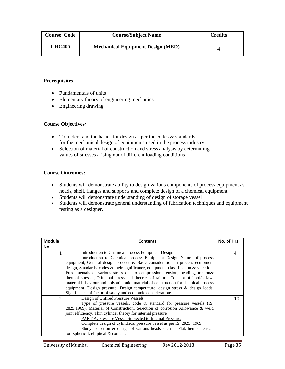| <b>Course Code</b> | <b>Course/Subject Name</b>               | <b>Credits</b> |
|--------------------|------------------------------------------|----------------|
| <b>CHC405</b>      | <b>Mechanical Equipment Design (MED)</b> |                |

- Fundamentals of units
- Elementary theory of engineering mechanics
- Engineering drawing

## **Course Objectives***:*

- To understand the basics for design as per the codes & standards for the mechanical design of equipments used in the process industry.
- Selection of material of construction and stress analysis by determining values of stresses arising out of different loading conditions

- Students will demonstrate ability to design various components of process equipment as heads, shell, flanges and supports and complete design of a chemical equipment
- Students will demonstrate understanding of design of storage vessel
- Students will demonstrate general understanding of fabrication techniques and equipment testing as a designer.

| <b>Module</b>           | <b>Contents</b>                                                                                                                                                                                                                                                                                                                                                                                                                                                                                                                                                                                                                                                                                                          | No. of Hrs. |
|-------------------------|--------------------------------------------------------------------------------------------------------------------------------------------------------------------------------------------------------------------------------------------------------------------------------------------------------------------------------------------------------------------------------------------------------------------------------------------------------------------------------------------------------------------------------------------------------------------------------------------------------------------------------------------------------------------------------------------------------------------------|-------------|
| No.                     |                                                                                                                                                                                                                                                                                                                                                                                                                                                                                                                                                                                                                                                                                                                          |             |
| $\mathbf{1}$            | Introduction to Chemical process Equipment Design:<br>Introduction to Chemical process Equipment Design Nature of process<br>equipment, General design procedure. Basic consideration in process equipment<br>design, Standards, codes $\&$ their significance, equipment classification $\&$ selection,<br>Fundamentals of various stress due to compression, tension, bending, torsion&<br>thermal stresses, Principal stress and theories of failure. Concept of hook's law,<br>material behaviour and poison's ratio, material of construction for chemical process<br>equipment, Design pressure, Design temperature, design stress & design loads,<br>Significance of factor of safety and economic considerations | 4           |
| $\overline{\mathbf{c}}$ | Design of Unfired Pressure Vessels:<br>Type of pressure vessels, code $\&$ standard for pressure vessels (IS:<br>2825:1969), Material of Construction, Selection of corrosion Allowance & weld<br>joint efficiency. Thin cylinder theory for internal pressure<br><b>PART A: Pressure Vessel Subjected to Internal Pressure.</b><br>Complete design of cylindrical pressure vessel as per IS: 2825: 1969<br>Study, selection & design of various heads such as Flat, hemispherical,<br>tori-spherical, elliptical & conical.                                                                                                                                                                                             | 10          |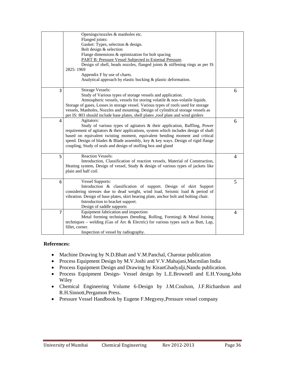|                | Openings/nozzles & manholes etc.<br>Flanged joints:                                                                                               |   |
|----------------|---------------------------------------------------------------------------------------------------------------------------------------------------|---|
|                | Gasket: Types, selection & design.                                                                                                                |   |
|                | Bolt design & selection                                                                                                                           |   |
|                | Flange dimensions & optimization for bolt spacing                                                                                                 |   |
|                | PART B: Pressure Vessel Subjected to External Pressure.                                                                                           |   |
|                | Design of shell, heads nozzles, flanged joints & stiffening rings as per IS                                                                       |   |
|                | 2825: 1969                                                                                                                                        |   |
|                | Appendix F by use of charts.                                                                                                                      |   |
|                | Analytical approach by elastic bucking & plastic deformation.                                                                                     |   |
| 3              | <b>Storage Vessels:</b>                                                                                                                           | 6 |
|                | Study of Various types of storage vessels and application.                                                                                        |   |
|                | Atmospheric vessels, vessels for storing volatile & non-volatile liquids.                                                                         |   |
|                | Storage of gases, Losses in storage vessel. Various types of roofs used for storage                                                               |   |
|                | vessels, Manholes, Nozzles and mounting. Design of cylindrical storage vessels as                                                                 |   |
|                | per IS: 803 should include base plates, shell plates , roof plate and wind girders                                                                |   |
| 4              | Agitators:                                                                                                                                        | 6 |
|                | Study of various types of agitators & their application, Baffling, Power                                                                          |   |
|                | requirement of agitators & their applications, system which includes design of shaft                                                              |   |
|                | based on equivalent twisting moment, equivalent bending moment and critical                                                                       |   |
|                | speed. Design of blades & Blade assembly, key & key ways. Design of rigid flange<br>coupling, Study of seals and design of stuffing box and gland |   |
|                |                                                                                                                                                   |   |
| 5              | <b>Reaction Vessels:</b>                                                                                                                          | 4 |
|                | Introduction, Classification of reaction vessels, Material of Construction,                                                                       |   |
|                | Heating system, Design of vessel, Study & design of various types of jackets like                                                                 |   |
|                | plain and half coil.                                                                                                                              |   |
|                |                                                                                                                                                   |   |
| 6              | <b>Vessel Supports:</b>                                                                                                                           | 5 |
|                | Introduction & classification of support. Design of skirt Support                                                                                 |   |
|                | considering stresses due to dead weight, wind load, Seismic load & period of                                                                      |   |
|                | vibration. Design of base plates, skirt bearing plate, anchor bolt and bolting chair.<br>Introduction to bracket support.                         |   |
|                |                                                                                                                                                   |   |
|                | Design of saddle supports<br>Equipment fabrication and inspection:                                                                                |   |
| $\overline{7}$ | Metal forming techniques (bending, Rolling, Forming) & Metal Joining                                                                              | 4 |
|                | techniques – welding (Gas of Arc & Electric) for various types such as Butt, Lap,                                                                 |   |
|                | fillet, corner.                                                                                                                                   |   |
|                | Inspection of vessel by radiography.                                                                                                              |   |
|                |                                                                                                                                                   |   |

- Machine Drawing by N.D.Bhatt and V.M.Panchal, Charotar publication
- Process Equipment Design by M.V.Joshi and V.V.Mahajani,Macmilan India
- Process Equipment Design and Drawing by KiranGhadyalji,Nandu publication.
- Process Equipment Design- Vessel design by L.E.Brownell and E.H.Young,John Wiley
- Chemical Engineering Volume 6-Design by J.M.Coulson, J.F.Richardson and R.H.Sinnott,Pergamon Press.
- Pressure Vessel Handbook by Eugene F.Megyesy,Pressure vessel company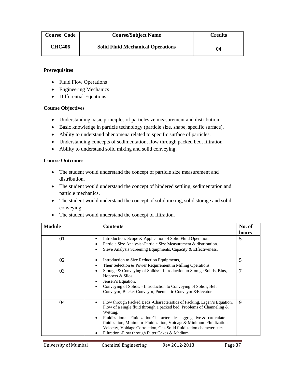| <b>Course Code</b> | <b>Course/Subject Name</b>               | <b>Credits</b> |
|--------------------|------------------------------------------|----------------|
| <b>CHC406</b>      | <b>Solid Fluid Mechanical Operations</b> | 04             |

- Fluid Flow Operations
- Engineering Mechanics
- Differential Equations

## **Course Objectives**

- Understanding basic principles of particlesize measurement and distribution.
- Basic knowledge in particle technology (particle size, shape, specific surface).
- Ability to understand phenomena related to specific surface of particles.
- Understanding concepts of sedimentation, flow through packed bed, filtration.
- Ability to understand solid mixing and solid conveying.

- The student would understand the concept of particle size measurement and distribution.
- The student would understand the concept of hindered settling, sedimentation and particle mechanics.
- The student would understand the concept of solid mixing, solid storage and solid conveying.
- The student would understand the concept of filtration.

| <b>Module</b> | <b>Contents</b>                                                                                                                                                                                                                                                                                                                                                                                                                                                | No. of<br>hours |
|---------------|----------------------------------------------------------------------------------------------------------------------------------------------------------------------------------------------------------------------------------------------------------------------------------------------------------------------------------------------------------------------------------------------------------------------------------------------------------------|-----------------|
| 01            | Introduction:-Scope & Application of Solid Fluid Operation.<br>٠<br>Particle Size Analysis: Particle Size Measurement & distribution.<br>٠<br>Sieve Analysis Screening Equipments, Capacity & Effectiveness.<br>٠                                                                                                                                                                                                                                              | 5               |
| 02            | Introduction to Size Reduction Equipments,<br>٠<br>Their Selection & Power Requirement in Milling Operations.<br>٠                                                                                                                                                                                                                                                                                                                                             | 5               |
| 03            | Storage & Conveying of Solids: - Introduction to Storage Solids, Bins,<br>٠<br>Hoppers & Silos.<br>Jensen's Equation.<br>٠<br>Conveying of Solids: - Introduction to Conveying of Solids, Belt<br>$\bullet$<br>Conveyor, Bucket Conveyor, Pneumatic Conveyor & Elevators.                                                                                                                                                                                      | 7               |
| 04            | Flow through Packed Beds: Characteristics of Packing, Ergen's Equation,<br>٠<br>Flow of a single fluid through a packed bed, Problems of Channeling $\&$<br>Wetting.<br>Fluidization.: - Fluidization Characteristics, aggregative & particulate<br>$\bullet$<br>fluidization, Minimum Fluidization, Voidage & Minimum Fluidization<br>Velocity, Voidage Correlation, Gas-Solid fluidization characteristics<br>Filtration:-Flow through Filter Cakes & Medium | 9               |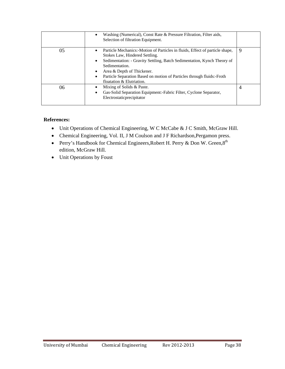|    | Washing (Numerical), Const Rate & Pressure Filtration, Filter aids,<br>Selection of filtration Equipment.                                                                                                                                                                                                                                                    |                |
|----|--------------------------------------------------------------------------------------------------------------------------------------------------------------------------------------------------------------------------------------------------------------------------------------------------------------------------------------------------------------|----------------|
| 05 | Particle Mechanics:-Motion of Particles in fluids, Effect of particle shape,<br>٠<br>Stokes Law, Hindered Settling.<br>Sedimentation: - Gravity Settling, Batch Sedimentation, Kynch Theory of<br>٠<br>Sedimentation.<br>Area & Depth of Thickener.<br>Particle Separation Based on motion of Particles through fluids: - Froth<br>floatation & Elutriation. | 9              |
| 06 | Mixing of Solids & Paste.<br>Gas-Solid Separation Equipment:-Fabric Filter, Cyclone Separator,<br>٠<br>Electrostaticprecipitator                                                                                                                                                                                                                             | $\overline{4}$ |

- Unit Operations of Chemical Engineering, W C McCabe & J C Smith, McGraw Hill.
- Chemical Engineering, Vol. II, J M Coulson and J F Richardson,Pergamon press.
- Perry's Handbook for Chemical Engineers, Robert H. Perry & Don W. Green, 8<sup>th</sup> edition, McGraw Hill.
- Unit Operations by Foust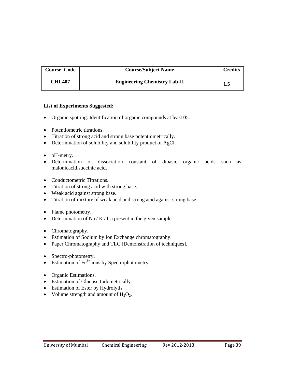| <b>Course Code</b> | <b>Course/Subject Name</b>          | <b>Credits</b> |
|--------------------|-------------------------------------|----------------|
| CHL407             | <b>Engineering Chemistry Lab-II</b> | 1.5            |

- Organic spotting: Identification of organic compounds at least 05.
- Potentiometric titrations.
- Titration of strong acid and strong base potentiometrically.
- Determination of solubility and solubility product of AgCl.
- pH-metry.
- Determination of dissociation constant of dibasic organic acids such as malonicacid,succinic acid.
- Conductometric Titrations.
- Titration of strong acid with strong base.
- Weak acid against strong base.
- Titration of mixture of weak acid and strong acid against strong base.
- Flame photometry.
- Determination of Na / K / Ca present in the given sample.
- Chromatography.
- Estimation of Sodium by Ion Exchange chromatography.
- Paper Chromatography and TLC [Demonstration of techniques].
- Spectro-photometry.
- Estimation of  $\text{Fe}^{3+}$  ions by Spectrophotometry.
- Organic Estimations.
- Estimation of Glucose Iodometrically.
- Estimation of Ester by Hydrolytis.
- Volume strength and amount of  $H_2O_2$ .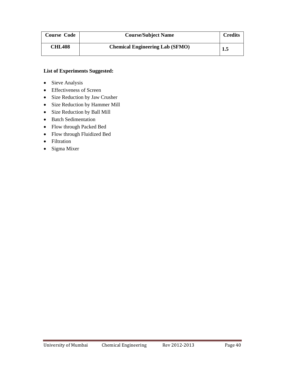| <b>Course Code</b> | <b>Course/Subject Name</b>             | <b>Credits</b> |
|--------------------|----------------------------------------|----------------|
| <b>CHL408</b>      | <b>Chemical Engineering Lab (SFMO)</b> | 1.5            |

- Sieve Analysis
- Effectiveness of Screen
- Size Reduction by Jaw Crusher
- Size Reduction by Hammer Mill
- Size Reduction by Ball Mill
- Batch Sedimentation
- Flow through Packed Bed
- Flow through Fluidized Bed
- Filtration
- Sigma Mixer